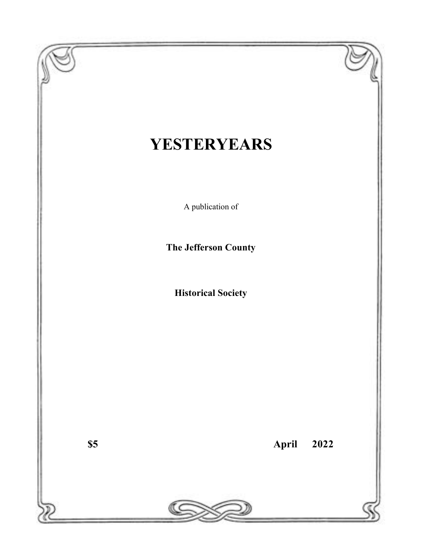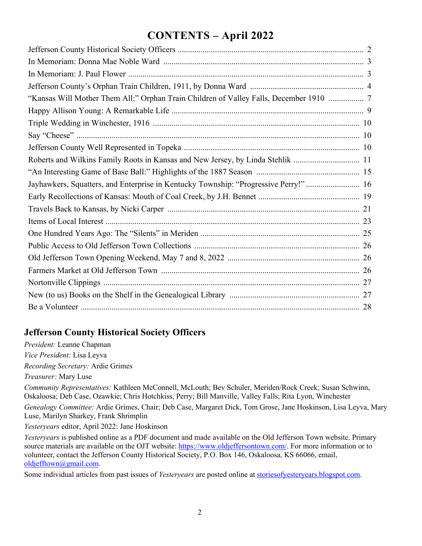# **CONTENTS – April 2022**

| "Kansas Will Mother Them All:" Orphan Train Children of Valley Falls, December 1910  7 |
|----------------------------------------------------------------------------------------|
|                                                                                        |
|                                                                                        |
|                                                                                        |
|                                                                                        |
| Roberts and Wilkins Family Roots in Kansas and New Jersey, by Linda Stehlik  11        |
|                                                                                        |
| Jayhawkers, Squatters, and Enterprise in Kentucky Township: "Progressive Perry!" 16    |
|                                                                                        |
|                                                                                        |
|                                                                                        |
|                                                                                        |
|                                                                                        |
|                                                                                        |
|                                                                                        |
|                                                                                        |
|                                                                                        |
|                                                                                        |

## **Jefferson County Historical Society Officers**

*President:* Leanne Chapman *Vice President:* Lisa Leyva

*Recording Secretary:* Ardie Grimes

*Treasurer:* Mary Luse

*Community Representatives:* Kathleen McConnell, McLouth; Bev Schuler, Meriden/Rock Creek; Susan Schwinn, Oskaloosa; Deb Case, Ozawkie; Chris Hotchkiss, Perry; Bill Manville, Valley Falls; Rita Lyon, Winchester

*Genealogy Committee:* Ardie Grimes, Chair; Deb Case, Margaret Dick, Tom Grose, Jane Hoskinson, Lisa Leyva, Mary Luse, Marilyn Sharkey, Frank Shrimplin

*Yesteryears* editor, April 2022: Jane Hoskinson

*Yesteryears* is published online as a PDF document and made available on the Old Jefferson Town website. Primary source materials are available on the OJT website: https://www.oldjeffersontown.com/. For more information or to volunteer, contact the Jefferson County Historical Society, P.O. Box 146, Oskaloosa, KS 66066, email, oldjefftown@gmail.com.

Some individual articles from past issues of *Yesteryears* are posted online at storiesofyesteryears.blogspot.com.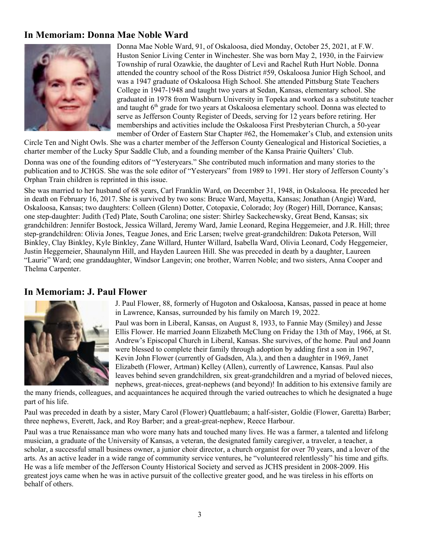## **In Memoriam: Donna Mae Noble Ward**



Donna Mae Noble Ward, 91, of Oskaloosa, died Monday, October 25, 2021, at F.W. Huston Senior Living Center in Winchester. She was born May 2, 1930, in the Fairview Township of rural Ozawkie, the daughter of Levi and Rachel Ruth Hurt Noble. Donna attended the country school of the Ross District #59, Oskaloosa Junior High School, and was a 1947 graduate of Oskaloosa High School. She attended Pittsburg State Teachers College in 1947-1948 and taught two years at Sedan, Kansas, elementary school. She graduated in 1978 from Washburn University in Topeka and worked as a substitute teacher and taught 6<sup>th</sup> grade for two years at Oskaloosa elementary school. Donna was elected to serve as Jefferson County Register of Deeds, serving for 12 years before retiring. Her memberships and activities include the Oskaloosa First Presbyterian Church, a 50-year member of Order of Eastern Star Chapter #62, the Homemaker's Club, and extension units

Circle Ten and Night Owls. She was a charter member of the Jefferson County Genealogical and Historical Societies, a charter member of the Lucky Spur Saddle Club, and a founding member of the Kansa Prairie Quilters' Club.

Donna was one of the founding editors of "Yesteryears." She contributed much information and many stories to the publication and to JCHGS. She was the sole editor of "Yesteryears" from 1989 to 1991. Her story of Jefferson County's Orphan Train children is reprinted in this issue.

She was married to her husband of 68 years, Carl Franklin Ward, on December 31, 1948, in Oskaloosa. He preceded her in death on February 16, 2017. She is survived by two sons: Bruce Ward, Mayetta, Kansas; Jonathan (Angie) Ward, Oskaloosa, Kansas; two daughters: Colleen (Glenn) Dotter, Cotopaxie, Colorado; Joy (Roger) Hill, Dorrance, Kansas; one step-daughter: Judith (Ted) Plate, South Carolina; one sister: Shirley Sackechewsky, Great Bend, Kansas; six grandchildren: Jennifer Bostock, Jessica Willard, Jeremy Ward, Jamie Leonard, Regina Heggemeier, and J.R. Hill; three step-grandchildren: Olivia Jones, Teague Jones, and Eric Larsen; twelve great-grandchildren: Dakota Peterson, Will Binkley, Clay Binkley, Kyle Binkley, Zane Willard, Hunter Willard, Isabella Ward, Olivia Leonard, Cody Heggemeier, Justin Heggemeier, Shaunalynn Hill, and Hayden Laureen Hill. She was preceded in death by a daughter, Laureen "Laurie" Ward; one granddaughter, Windsor Langevin; one brother, Warren Noble; and two sisters, Anna Cooper and Thelma Carpenter.

## **In Memoriam: J. Paul Flower**



J. Paul Flower, 88, formerly of Hugoton and Oskaloosa, Kansas, passed in peace at home in Lawrence, Kansas, surrounded by his family on March 19, 2022.

Paul was born in Liberal, Kansas, on August 8, 1933, to Fannie May (Smiley) and Jesse Ellis Flower. He married Joann Elizabeth McClung on Friday the 13th of May, 1966, at St. Andrew's Episcopal Church in Liberal, Kansas. She survives, of the home. Paul and Joann were blessed to complete their family through adoption by adding first a son in 1967, Kevin John Flower (currently of Gadsden, Ala.), and then a daughter in 1969, Janet Elizabeth (Flower, Artman) Kelley (Allen), currently of Lawrence, Kansas. Paul also leaves behind seven grandchildren, six great-grandchildren and a myriad of beloved nieces, nephews, great-nieces, great-nephews (and beyond)! In addition to his extensive family are

the many friends, colleagues, and acquaintances he acquired through the varied outreaches to which he designated a huge part of his life.

Paul was preceded in death by a sister, Mary Carol (Flower) Quattlebaum; a half-sister, Goldie (Flower, Garetta) Barber; three nephews, Everett, Jack, and Roy Barber; and a great-great-nephew, Reece Harbour.

Paul was a true Renaissance man who wore many hats and touched many lives. He was a farmer, a talented and lifelong musician, a graduate of the University of Kansas, a veteran, the designated family caregiver, a traveler, a teacher, a scholar, a successful small business owner, a junior choir director, a church organist for over 70 years, and a lover of the arts. As an active leader in a wide range of community service ventures, he "volunteered relentlessly" his time and gifts. He was a life member of the Jefferson County Historical Society and served as JCHS president in 2008-2009. His greatest joys came when he was in active pursuit of the collective greater good, and he was tireless in his efforts on behalf of others.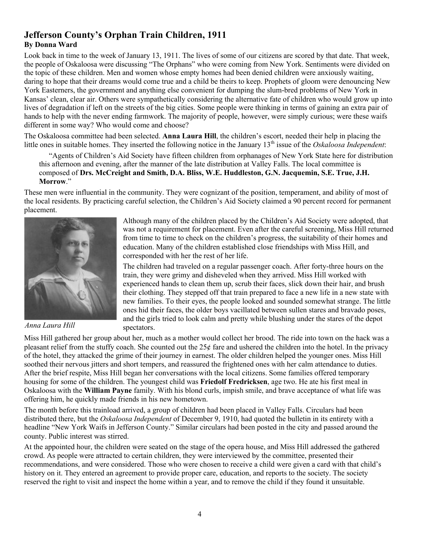## **Jefferson County's Orphan Train Children, 1911 By Donna Ward**

Look back in time to the week of January 13, 1911. The lives of some of our citizens are scored by that date. That week, the people of Oskaloosa were discussing "The Orphans" who were coming from New York. Sentiments were divided on the topic of these children. Men and women whose empty homes had been denied children were anxiously waiting, daring to hope that their dreams would come true and a child be theirs to keep. Prophets of gloom were denouncing New York Easterners, the government and anything else convenient for dumping the slum-bred problems of New York in Kansas' clean, clear air. Others were sympathetically considering the alternative fate of children who would grow up into lives of degradation if left on the streets of the big cities. Some people were thinking in terms of gaining an extra pair of hands to help with the never ending farmwork. The majority of people, however, were simply curious; were these waifs different in some way? Who would come and choose?

The Oskaloosa committee had been selected. **Anna Laura Hill**, the children's escort, needed their help in placing the little ones in suitable homes. They inserted the following notice in the January 13th issue of the *Oskaloosa Independent*:

"Agents of Children's Aid Society have fifteen children from orphanages of New York State here for distribution this afternoon and evening, after the manner of the late distribution at Valley Falls. The local committee is composed of **Drs. McCreight and Smith, D.A. Bliss, W.E. Huddleston, G.N. Jacquemin, S.E. True, J.H. Morrow**."

These men were influential in the community. They were cognizant of the position, temperament, and ability of most of the local residents. By practicing careful selection, the Children's Aid Society claimed a 90 percent record for permanent placement.



*Anna Laura Hill*

Although many of the children placed by the Children's Aid Society were adopted, that was not a requirement for placement. Even after the careful screening, Miss Hill returned from time to time to check on the children's progress, the suitability of their homes and education. Many of the children established close friendships with Miss Hill, and corresponded with her the rest of her life.

The children had traveled on a regular passenger coach. After forty-three hours on the train, they were grimy and disheveled when they arrived. Miss Hill worked with experienced hands to clean them up, scrub their faces, slick down their hair, and brush their clothing. They stepped off that train prepared to face a new life in a new state with new families. To their eyes, the people looked and sounded somewhat strange. The little ones hid their faces, the older boys vacillated between sullen stares and bravado poses, and the girls tried to look calm and pretty while blushing under the stares of the depot spectators.

Miss Hill gathered her group about her, much as a mother would collect her brood. The ride into town on the hack was a pleasant relief from the stuffy coach. She counted out the  $25¢$  fare and ushered the children into the hotel. In the privacy of the hotel, they attacked the grime of their journey in earnest. The older children helped the younger ones. Miss Hill soothed their nervous jitters and short tempers, and reassured the frightened ones with her calm attendance to duties. After the brief respite, Miss Hill began her conversations with the local citizens. Some families offered temporary housing for some of the children. The youngest child was **Friedolf Fredricksen**, age two. He ate his first meal in Oskaloosa with the **William Payne** family. With his blond curls, impish smile, and brave acceptance of what life was offering him, he quickly made friends in his new hometown.

The month before this trainload arrived, a group of children had been placed in Valley Falls. Circulars had been distributed there, but the *Oskaloosa Independent* of December 9, 1910, had quoted the bulletin in its entirety with a headline "New York Waifs in Jefferson County." Similar circulars had been posted in the city and passed around the county. Public interest was stirred.

At the appointed hour, the children were seated on the stage of the opera house, and Miss Hill addressed the gathered crowd. As people were attracted to certain children, they were interviewed by the committee, presented their recommendations, and were considered. Those who were chosen to receive a child were given a card with that child's history on it. They entered an agreement to provide proper care, education, and reports to the society. The society reserved the right to visit and inspect the home within a year, and to remove the child if they found it unsuitable.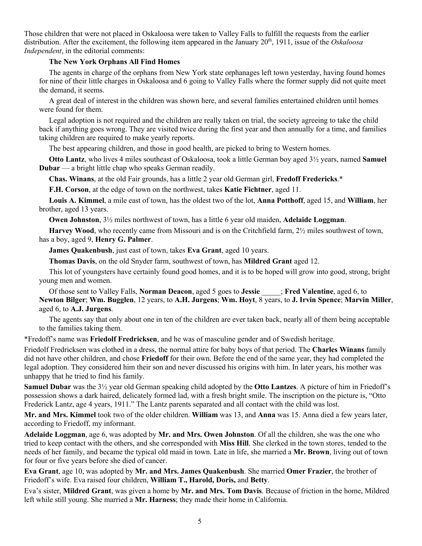Those children that were not placed in Oskaloosa were taken to Valley Falls to fulfill the requests from the earlier distribution. After the excitement, the following item appeared in the January 20<sup>th</sup>, 1911, issue of the *Oskaloosa Independent*, in the editorial comments:

#### **The New York Orphans All Find Homes**

The agents in charge of the orphans from New York state orphanages left town yesterday, having found homes for nine of their little charges in Oskaloosa and 6 going to Valley Falls where the former supply did not quite meet the demand, it seems.

A great deal of interest in the children was shown here, and several families entertained children until homes were found for them.

Legal adoption is not required and the children are really taken on trial, the society agreeing to take the child back if anything goes wrong. They are visited twice during the first year and then annually for a time, and families taking children are required to make yearly reports.

The best appearing children, and those in good health, are picked to bring to Western homes.

**Otto Lantz**, who lives 4 miles southeast of Oskaloosa, took a little German boy aged 3½ years, named **Samuel Dubar** — a bright little chap who speaks German readily.

**Chas. Winans**, at the old Fair grounds, has a little 2 year old German girl, **Fredoff Fredericks**.\*

**F.H. Corson**, at the edge of town on the northwest, takes **Katie Fichtner**, aged 11.

**Louis A. Kimmel**, a mile east of town, has the oldest two of the lot, **Anna Potthoff**, aged 15, and **William**, her brother, aged 13 years.

**Owen Johnston**, 3½ miles northwest of town, has a little 6 year old maiden, **Adelaide Loggman**.

**Harvey Wood**, who recently came from Missouri and is on the Critchfield farm, 2½ miles southwest of town, has a boy, aged 9, **Henry G. Palmer**.

**James Quakenbush**, just east of town, takes **Eva Grant**, aged 10 years.

**Thomas Davis**, on the old Snyder farm, southwest of town, has **Mildred Grant** aged 12.

This lot of youngsters have certainly found good homes, and it is to be hoped will grow into good, strong, bright young men and women.

Of those sent to Valley Falls, **Norman Deacon**, aged 5 goes to **Jessie** \_\_\_\_\_; **Fred Valentine**, aged 6, to **Newton Bilger**; **Wm. Bugglen**, 12 years, to **A.H. Jurgens**; **Wm. Hoyt**, 8 years, to **J. Irvin Spence**; **Marvin Miller**, aged 6, to **A.J. Jurgens**.

The agents say that only about one in ten of the children are ever taken back, nearly all of them being acceptable to the families taking them.

\*Fredoff's name was **Friedolf Fredricksen**, and he was of masculine gender and of Swedish heritage.

Friedolf Fredricksen was clothed in a dress, the normal attire for baby boys of that period. The **Charles Winans** family did not have other children, and chose **Friedoff** for their own. Before the end of the same year, they had completed the legal adoption. They considered him their son and never discussed his origins with him. In later years, his mother was unhappy that he tried to find his family.

**Samuel Dubar** was the 3½ year old German speaking child adopted by the **Otto Lantzes**. A picture of him in Friedoff's possession shows a dark haired, delicately formed lad, with a fresh bright smile. The inscription on the picture is, "Otto Frederick Lantz, age 4 years, 1911." The Lantz parents separated and all contact with the child was lost.

**Mr. and Mrs. Kimmel** took two of the older children. **William** was 13, and **Anna** was 15. Anna died a few years later, according to Friedoff, my informant.

**Adelaide Loggman**, age 6, was adopted by **Mr. and Mrs. Owen Johnston**. Of all the children, she was the one who tried to keep contact with the others, and she corresponded with **Miss Hill**. She clerked in the town stores, tended to the needs of her family, and became the typical old maid in town. Late in life, she married a **Mr. Brown**, living out of town for four or five years before she died of cancer.

**Eva Grant**, age 10, was adopted by **Mr. and Mrs. James Quakenbush**. She married **Omer Frazier**, the brother of Friedoff's wife. Eva raised four children, **William T., Harold, Doris,** and **Betty**.

Eva's sister, **Mildred Grant**, was given a home by **Mr. and Mrs. Tom Davis**. Because of friction in the home, Mildred left while still young. She married a **Mr. Harness**; they made their home in California.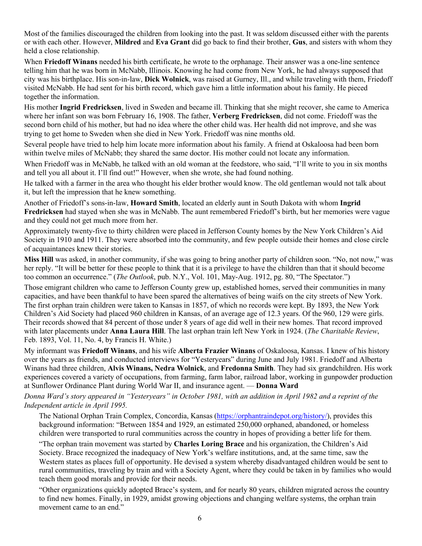Most of the families discouraged the children from looking into the past. It was seldom discussed either with the parents or with each other. However, **Mildred** and **Eva Grant** did go back to find their brother, **Gus**, and sisters with whom they held a close relationship.

When **Friedoff Winans** needed his birth certificate, he wrote to the orphanage. Their answer was a one-line sentence telling him that he was born in McNabb, Illinois. Knowing he had come from New York, he had always supposed that city was his birthplace. His son-in-law, **Dick Wolnick**, was raised at Gurney, Ill., and while traveling with them, Friedoff visited McNabb. He had sent for his birth record, which gave him a little information about his family. He pieced together the information.

His mother **Ingrid Fredricksen**, lived in Sweden and became ill. Thinking that she might recover, she came to America where her infant son was born February 16, 1908. The father, **Verberg Fredricksen**, did not come. Friedoff was the second born child of his mother, but had no idea where the other child was. Her health did not improve, and she was trying to get home to Sweden when she died in New York. Friedoff was nine months old.

Several people have tried to help him locate more information about his family. A friend at Oskaloosa had been born within twelve miles of McNabb; they shared the same doctor. His mother could not locate any information.

When Friedoff was in McNabb, he talked with an old woman at the feedstore, who said, "I'll write to you in six months and tell you all about it. I'll find out!" However, when she wrote, she had found nothing.

He talked with a farmer in the area who thought his elder brother would know. The old gentleman would not talk about it, but left the impression that he knew something.

Another of Friedoff's sons-in-law, **Howard Smith**, located an elderly aunt in South Dakota with whom **Ingrid Fredricksen** had stayed when she was in McNabb. The aunt remembered Friedoff's birth, but her memories were vague and they could not get much more from her.

Approximately twenty-five to thirty children were placed in Jefferson County homes by the New York Children's Aid Society in 1910 and 1911. They were absorbed into the community, and few people outside their homes and close circle of acquaintances knew their stories.

**Miss Hill** was asked, in another community, if she was going to bring another party of children soon. "No, not now," was her reply. "It will be better for these people to think that it is a privilege to have the children than that it should become too common an occurrence." (*The Outlook*, pub. N.Y., Vol. 101, May-Aug. 1912, pg. 80, "The Spectator.")

Those emigrant children who came to Jefferson County grew up, established homes, served their communities in many capacities, and have been thankful to have been spared the alternatives of being waifs on the city streets of New York. The first orphan train children were taken to Kansas in 1857, of which no records were kept. By 1893, the New York Children's Aid Society had placed 960 children in Kansas, of an average age of 12.3 years. Of the 960, 129 were girls. Their records showed that 84 percent of those under 8 years of age did well in their new homes. That record improved with later placements under **Anna Laura Hill**. The last orphan train left New York in 1924. (*The Charitable Review*, Feb. 1893, Vol. 11, No. 4, by Francis H. White.)

My informant was **Friedoff Winans**, and his wife **Alberta Frazier Winans** of Oskaloosa, Kansas. I knew of his history over the years as friends, and conducted interviews for "Yesteryears" during June and July 1981. Friedoff and Alberta Winans had three children, **Alvis Winans, Nedra Wolnick**, and **Fredonna Smith**. They had six grandchildren. His work experiences covered a variety of occupations, from farming, farm labor, railroad labor, working in gunpowder production at Sunflower Ordinance Plant during World War II, and insurance agent. — **Donna Ward**

#### *Donna Ward's story appeared in "Yesteryears" in October 1981, with an addition in April 1982 and a reprint of the Independent article in April 1995.*

The National Orphan Train Complex, Concordia, Kansas (https://orphantraindepot.org/history/), provides this background information: "Between 1854 and 1929, an estimated 250,000 orphaned, abandoned, or homeless children were transported to rural communities across the country in hopes of providing a better life for them.

"The orphan train movement was started by **Charles Loring Brace** and his organization, the Children's Aid Society. Brace recognized the inadequacy of New York's welfare institutions, and, at the same time, saw the Western states as places full of opportunity. He devised a system whereby disadvantaged children would be sent to rural communities, traveling by train and with a Society Agent, where they could be taken in by families who would teach them good morals and provide for their needs.

"Other organizations quickly adopted Brace's system, and for nearly 80 years, children migrated across the country to find new homes. Finally, in 1929, amidst growing objections and changing welfare systems, the orphan train movement came to an end."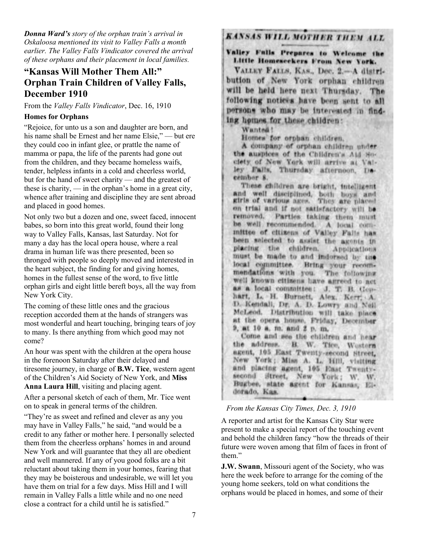*Donna Ward's story of the orphan train's arrival in Oskaloosa mentioned its visit to Valley Falls a month earlier. The Valley Falls Vindicator covered the arrival of these orphans and their placement in local families.*

## **"Kansas Will Mother Them All:" Orphan Train Children of Valley Falls, December 1910**

From the *Valley Falls Vindicator*, Dec. 16, 1910

### **Homes for Orphans**

"Rejoice, for unto us a son and daughter are born, and his name shall be Ernest and her name Elsie," — but ere they could coo in infant glee, or prattle the name of mamma or papa, the life of the parents had gone out from the children, and they became homeless waifs, tender, helpless infants in a cold and cheerless world, but for the hand of sweet charity — and the greatest of these is charity, — in the orphan's home in a great city, whence after training and discipline they are sent abroad and placed in good homes.

Not only two but a dozen and one, sweet faced, innocent babes, so born into this great world, found their long way to Valley Falls, Kansas, last Saturday. Not for many a day has the local opera house, where a real drama in human life was there presented, been so thronged with people so deeply moved and interested in the heart subject, the finding for and giving homes, homes in the fullest sense of the word, to five little orphan girls and eight little bereft boys, all the way from New York City.

The coming of these little ones and the gracious reception accorded them at the hands of strangers was most wonderful and heart touching, bringing tears of joy to many. Is there anything from which good may not come?

An hour was spent with the children at the opera house in the forenoon Saturday after their delayed and tiresome journey, in charge of **B.W. Tice**, western agent of the Children's Aid Society of New York, and **Miss Anna Laura Hill**, visiting and placing agent.

After a personal sketch of each of them, Mr. Tice went on to speak in general terms of the children.

"They're as sweet and refined and clever as any you may have in Valley Falls," he said, "and would be a credit to any father or mother here. I personally selected them from the cheerless orphans' homes in and around New York and will guarantee that they all are obedient and well mannered. If any of you good folks are a bit reluctant about taking them in your homes, fearing that they may be boisterous and undesirable, we will let you have them on trial for a few days. Miss Hill and I will remain in Valley Falls a little while and no one need close a contract for a child until he is satisfied."

# **KANSAS WILL MOTHER THEM ALL**

Valley Falls Prepares to Welcome the Little Homeseekers From New York.

VALLEY FALLS, KAS., Dec. 2 .- A distribution of New York orphan children will be held here next Thursday. The following notices have been sent to all persons who may be interested in finding homes for these children:

Wanted !

Homes for orphan children.

A company of orphan children under the auspices of the Children's Aid Soclety of New York will arrive at Valley Falls, Thursday afternoon, December 8.

These children are bright, intelligent and well disciplined, both boys and girls of various ages. They are placed on trial and if not satisfactory will be removed. Parties taking them must be well recommended. A local committee of citizens of Valley Falls has been selected to assist the agents in placing the children. Applications must be made to and indorsed by the local committee. Bring your recommendations with you. The following well known citizens have agreed to act as a local committee: J. T. B. Gephart, L. H. Burnett, Alex. Kerr, A. D. Kendall, Dr. A. D. Lowry and Neil-McLeod. Distribution will take place at the opera house. Friday, December 9, at 10 a, m. and 2 p. m.

Come and see the children and hear the address. B. W. Tice, Western agent, 105 East Twenty-second Street. New York; Miss A. L. Hill, visiting and placing agent, 105 East Twentysecond Street, New York; W. W. Bugbee, state agent for Kansas, Eldorado, Kas.

#### *From the Kansas City Times, Dec. 3, 1910*

A reporter and artist for the Kansas City Star were present to make a special report of the touching event and behold the children fancy "how the threads of their future were woven among that film of faces in front of them."

**J.W. Swann**, Missouri agent of the Society, who was here the week before to arrange for the coming of the young home seekers, told on what conditions the orphans would be placed in homes, and some of their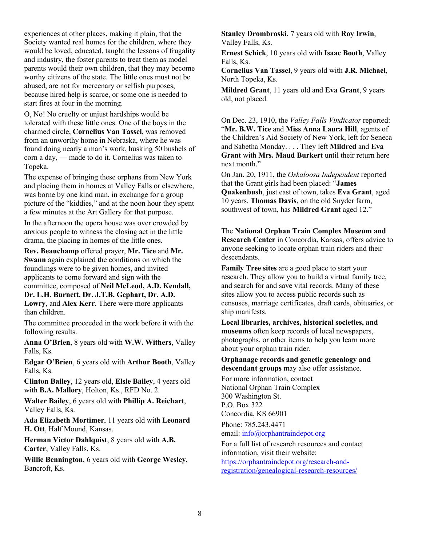experiences at other places, making it plain, that the Society wanted real homes for the children, where they would be loved, educated, taught the lessons of frugality and industry, the foster parents to treat them as model parents would their own children, that they may become worthy citizens of the state. The little ones must not be abused, are not for mercenary or selfish purposes, because hired help is scarce, or some one is needed to start fires at four in the morning.

O, No! No cruelty or unjust hardships would be tolerated with these little ones. One of the boys in the charmed circle, **Cornelius Van Tassel**, was removed from an unworthy home in Nebraska, where he was found doing nearly a man's work, husking 50 bushels of corn a day, — made to do it. Cornelius was taken to Topeka.

The expense of bringing these orphans from New York and placing them in homes at Valley Falls or elsewhere, was borne by one kind man, in exchange for a group picture of the "kiddies," and at the noon hour they spent a few minutes at the Art Gallery for that purpose.

In the afternoon the opera house was over crowded by anxious people to witness the closing act in the little drama, the placing in homes of the little ones.

**Rev. Beauchamp** offered prayer, **Mr. Tice** and **Mr. Swann** again explained the conditions on which the

foundlings were to be given homes, and invited applicants to come forward and sign with the committee, composed of **Neil McLeod, A.D. Kendall,** 

**Dr. L.H. Burnett, Dr. J.T.B. Gephart, Dr. A.D.** 

**Lowry**, and **Alex Kerr**. There were more applicants than children.

The committee proceeded in the work before it with the following results.

**Anna O'Brien**, 8 years old with **W.W. Withers**, Valley Falls, Ks.

**Edgar O'Brien**, 6 years old with **Arthur Booth**, Valley Falls, Ks.

**Clinton Bailey**, 12 years old, **Elsie Bailey**, 4 years old with **B.A. Mallory**, Holton, Ks., RFD No. 2.

**Walter Bailey**, 6 years old with **Phillip A. Reichart**, Valley Falls, Ks.

**Ada Elizabeth Mortimer**, 11 years old with **Leonard H. Ott**, Half Mound, Kansas.

**Herman Victor Dahlquist**, 8 years old with **A.B. Carter**, Valley Falls, Ks.

**Willie Bennington**, 6 years old with **George Wesley**, Bancroft, Ks.

**Stanley Drombroski**, 7 years old with **Roy Irwin**, Valley Falls, Ks.

**Ernest Schick**, 10 years old with **Isaac Booth**, Valley Falls, Ks.

**Cornelius Van Tassel**, 9 years old with **J.R. Michael**, North Topeka, Ks.

**Mildred Grant**, 11 years old and **Eva Grant**, 9 years old, not placed.

On Dec. 23, 1910, the *Valley Falls Vindicator* reported: "**Mr. B.W. Tice** and **Miss Anna Laura Hill**, agents of the Children's Aid Society of New York, left for Seneca and Sabetha Monday. . . . They left **Mildred** and **Eva Grant** with **Mrs. Maud Burkert** until their return here next month."

On Jan. 20, 1911, the *Oskaloosa Independent* reported that the Grant girls had been placed: "**James Quakenbush**, just east of town, takes **Eva Grant**, aged 10 years. **Thomas Davis**, on the old Snyder farm, southwest of town, has **Mildred Grant** aged 12."

The **National Orphan Train Complex Museum and Research Center** in Concordia, Kansas, offers advice to anyone seeking to locate orphan train riders and their descendants.

**Family Tree sites** are a good place to start your research. They allow you to build a virtual family tree, and search for and save vital records. Many of these sites allow you to access public records such as censuses, marriage certificates, draft cards, obituaries, or ship manifests.

**Local libraries, archives, historical societies, and museums** often keep records of local newspapers, photographs, or other items to help you learn more about your orphan train rider.

**Orphanage records and genetic genealogy and descendant groups** may also offer assistance.

For more information, contact National Orphan Train Complex 300 Washington St. P.O. Box 322 Concordia, KS 66901

Phone: 785.243.4471 email: info@orphantraindepot.org

For a full list of research resources and contact information, visit their website: https://orphantraindepot.org/research-andregistration/genealogical-research-resources/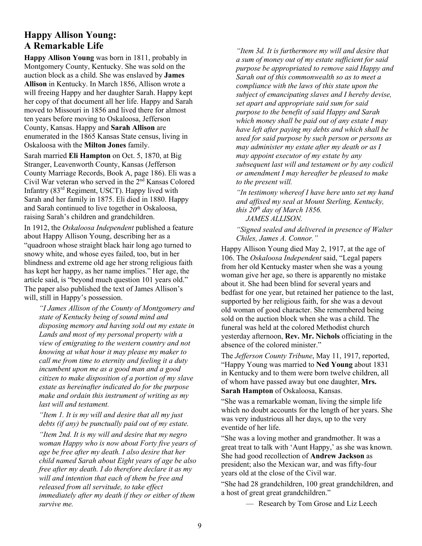## **Happy Allison Young: A Remarkable Life**

**Happy Allison Young** was born in 1811, probably in Montgomery County, Kentucky. She was sold on the auction block as a child. She was enslaved by **James Allison** in Kentucky. In March 1856, Allison wrote a will freeing Happy and her daughter Sarah. Happy kept her copy of that document all her life. Happy and Sarah moved to Missouri in 1856 and lived there for almost ten years before moving to Oskaloosa, Jefferson County, Kansas. Happy and **Sarah Allison** are enumerated in the 1865 Kansas State census, living in Oskaloosa with the **Milton Jones** family.

Sarah married **Eli Hampton** on Oct. 5, 1870, at Big Stranger, Leavenworth County, Kansas (Jefferson County Marriage Records, Book A, page 186). Eli was a Civil War veteran who served in the 2nd Kansas Colored Infantry (83rd Regiment, USCT). Happy lived with Sarah and her family in 1875. Eli died in 1880. Happy and Sarah continued to live together in Oskaloosa, raising Sarah's children and grandchildren.

In 1912, the *Oskaloosa Independent* published a feature about Happy Allison Young, describing her as a "quadroon whose straight black hair long ago turned to snowy white, and whose eyes failed, too, but in her blindness and extreme old age her strong religious faith has kept her happy, as her name implies." Her age, the article said, is "beyond much question 101 years old." The paper also published the text of James Allison's will, still in Happy's possession.

*"I James Allison of the County of Montgomery and state of Kentucky being of sound mind and disposing memory and having sold out my estate in Lands and most of my personal property with a view of emigrating to the western country and not knowing at what hour it may please my maker to call me from time to eternity and feeling it a duty incumbent upon me as a good man and a good citizen to make disposition of a portion of my slave estate as hereinafter indicated do for the purpose make and ordain this instrument of writing as my last will and testament.* 

*"Item 1. It is my will and desire that all my just debts (if any) be punctually paid out of my estate.*

*"Item 2nd. It is my will and desire that my negro woman Happy who is now about Forty five years of age be free after my death. I also desire that her child named Sarah about Eight years of age be also free after my death. I do therefore declare it as my will and intention that each of them be free and released from all servitude, to take effect immediately after my death if they or either of them survive me.* 

*"Item 3d. It is furthermore my will and desire that a sum of money out of my estate sufficient for said purpose be appropriated to remove said Happy and Sarah out of this commonwealth so as to meet a compliance with the laws of this state upon the subject of emancipating slaves and I hereby devise, set apart and appropriate said sum for said purpose to the benefit of said Happy and Sarah which money shall be paid out of any estate I may have left after paying my debts and which shall be used for said purpose by such person or persons as may administer my estate after my death or as I may appoint executor of my estate by any subsequent last will and testament or by any codicil or amendment I may hereafter be pleased to make to the present will.* 

*"In testimony whereof I have here unto set my hand and affixed my seal at Mount Sterling, Kentucky, this 20th day of March 1856. JAMES ALLISON.*

*"Signed sealed and delivered in presence of Walter Chiles, James A. Connor."*

Happy Allison Young died May 2, 1917, at the age of 106. The *Oskaloosa Independent* said, "Legal papers from her old Kentucky master when she was a young woman give her age, so there is apparently no mistake about it. She had been blind for several years and bedfast for one year, but retained her patience to the last, supported by her religious faith, for she was a devout old woman of good character. She remembered being sold on the auction block when she was a child. The funeral was held at the colored Methodist church yesterday afternoon, **Rev. Mr. Nichols** officiating in the absence of the colored minister."

The *Jefferson County Tribune*, May 11, 1917, reported, "Happy Young was married to **Ned Young** about 1831 in Kentucky and to them were born twelve children, all of whom have passed away but one daughter, **Mrs. Sarah Hampton** of Oskaloosa, Kansas.

"She was a remarkable woman, living the simple life which no doubt accounts for the length of her years. She was very industrious all her days, up to the very eventide of her life.

"She was a loving mother and grandmother. It was a great treat to talk with 'Aunt Happy,' as she was known. She had good recollection of **Andrew Jackson** as president; also the Mexican war, and was fifty-four years old at the close of the Civil war.

"She had 28 grandchildren, 100 great grandchildren, and a host of great great grandchildren."

— Research by Tom Grose and Liz Leech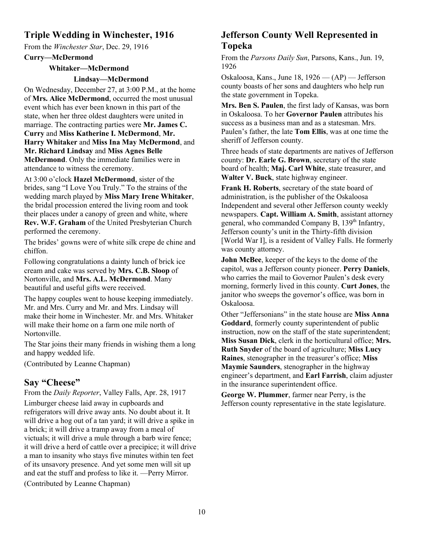## **Triple Wedding in Winchester, 1916**

From the *Winchester Star*, Dec. 29, 1916

**Curry—McDermond**

### **Whitaker—McDermond**

#### **Lindsay—McDermond**

On Wednesday, December 27, at 3:00 P.M., at the home of **Mrs. Alice McDermond**, occurred the most unusual event which has ever been known in this part of the state, when her three oldest daughters were united in marriage. The contracting parties were **Mr. James C. Curry** and **Miss Katherine I. McDermond**, **Mr. Harry Whitaker** and **Miss Ina May McDermond**, and **Mr. Richard Lindsay** and **Miss Agnes Belle McDermond**. Only the immediate families were in attendance to witness the ceremony.

At 3:00 o'clock **Hazel McDermond**, sister of the brides, sang "I Love You Truly." To the strains of the wedding march played by **Miss Mary Irene Whitaker**, the bridal procession entered the living room and took their places under a canopy of green and white, where **Rev. W.F. Graham** of the United Presbyterian Church performed the ceremony.

The brides' gowns were of white silk crepe de chine and chiffon.

Following congratulations a dainty lunch of brick ice cream and cake was served by **Mrs. C.B. Sloop** of Nortonville, and **Mrs. A.L. McDermond**. Many beautiful and useful gifts were received.

The happy couples went to house keeping immediately. Mr. and Mrs. Curry and Mr. and Mrs. Lindsay will make their home in Winchester. Mr. and Mrs. Whitaker will make their home on a farm one mile north of Nortonville.

The Star joins their many friends in wishing them a long and happy wedded life.

(Contributed by Leanne Chapman)

## **Say "Cheese"**

From the *Daily Reporter*, Valley Falls, Apr. 28, 1917

Limburger cheese laid away in cupboards and refrigerators will drive away ants. No doubt about it. It will drive a hog out of a tan yard; it will drive a spike in a brick; it will drive a tramp away from a meal of victuals; it will drive a mule through a barb wire fence; it will drive a herd of cattle over a precipice; it will drive a man to insanity who stays five minutes within ten feet of its unsavory presence. And yet some men will sit up and eat the stuff and profess to like it. —Perry Mirror. (Contributed by Leanne Chapman)

## **Jefferson County Well Represented in Topeka**

From the *Parsons Daily Sun*, Parsons, Kans., Jun. 19, 1926

Oskaloosa, Kans., June 18, 1926 — (AP) — Jefferson county boasts of her sons and daughters who help run the state government in Topeka.

**Mrs. Ben S. Paulen**, the first lady of Kansas, was born in Oskaloosa. To her **Governor Paulen** attributes his success as a business man and as a statesman. Mrs. Paulen's father, the late **Tom Ellis**, was at one time the sheriff of Jefferson county.

Three heads of state departments are natives of Jefferson county: **Dr. Earle G. Brown**, secretary of the state board of health; **Maj. Carl White**, state treasurer, and **Walter V. Buck**, state highway engineer.

**Frank H. Roberts**, secretary of the state board of administration, is the publisher of the Oskaloosa Independent and several other Jefferson county weekly newspapers. **Capt. William A. Smith**, assistant attorney general, who commanded Company B, 139<sup>th</sup> Infantry, Jefferson county's unit in the Thirty-fifth division [World War I], is a resident of Valley Falls. He formerly was county attorney.

**John McBee**, keeper of the keys to the dome of the capitol, was a Jefferson county pioneer. **Perry Daniels**, who carries the mail to Governor Paulen's desk every morning, formerly lived in this county. **Curt Jones**, the janitor who sweeps the governor's office, was born in Oskaloosa.

Other "Jeffersonians" in the state house are **Miss Anna Goddard**, formerly county superintendent of public instruction, now on the staff of the state superintendent; **Miss Susan Dick**, clerk in the horticultural office; **Mrs. Ruth Snyder** of the board of agriculture; **Miss Lucy Raines**, stenographer in the treasurer's office; **Miss Maymie Saunders**, stenographer in the highway engineer's department, and **Earl Farrish**, claim adjuster in the insurance superintendent office.

**George W. Plummer**, farmer near Perry, is the Jefferson county representative in the state legislature.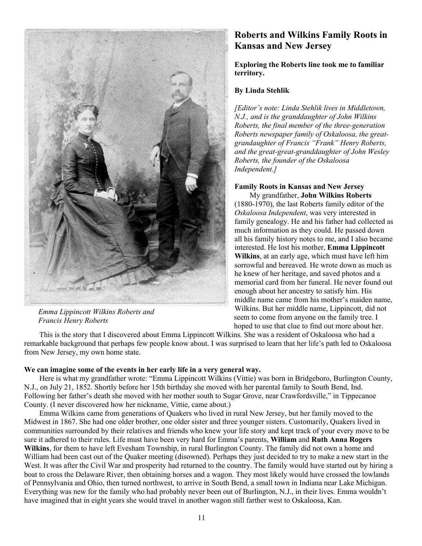

 *Emma Lippincott Wilkins Roberts and Francis Henry Roberts*

## **Roberts and Wilkins Family Roots in Kansas and New Jersey**

**Exploring the Roberts line took me to familiar territory.**

#### **By Linda Stehlik**

*[Editor's note: Linda Stehlik lives in Middletown, N.J., and is the granddaughter of John Wilkins Roberts, the final member of the three-generation Roberts newspaper family of Oskaloosa, the greatgrandaughter of Francis "Frank" Henry Roberts, and the great-great-granddaughter of John Wesley Roberts, the founder of the Oskaloosa Independent.]*

## **Family Roots in Kansas and New Jersey**

 My grandfather, **John Wilkins Roberts** (1880-1970), the last Roberts family editor of the *Oskaloosa Independent*, was very interested in family genealogy. He and his father had collected as much information as they could. He passed down all his family history notes to me, and I also became interested. He lost his mother, **Emma Lippincott Wilkins**, at an early age, which must have left him sorrowful and bereaved. He wrote down as much as he knew of her heritage, and saved photos and a memorial card from her funeral. He never found out enough about her ancestry to satisfy him. His middle name came from his mother's maiden name, Wilkins. But her middle name, Lippincott, did not seem to come from anyone on the family tree. I hoped to use that clue to find out more about her.

 This is the story that I discovered about Emma Lippincott Wilkins. She was a resident of Oskaloosa who had a remarkable background that perhaps few people know about. I was surprised to learn that her life's path led to Oskaloosa from New Jersey, my own home state.

#### **We can imagine some of the events in her early life in a very general way.**

 Here is what my grandfather wrote: "Emma Lippincott Wilkins (Vittie) was born in Bridgeboro, Burlington County, N.J., on July 21, 1852. Shortly before her 15th birthday she moved with her parental family to South Bend, Ind. Following her father's death she moved with her mother south to Sugar Grove, near Crawfordsville," in Tippecanoe County. (I never discovered how her nickname, Vittie, came about.)

 Emma Wilkins came from generations of Quakers who lived in rural New Jersey, but her family moved to the Midwest in 1867. She had one older brother, one older sister and three younger sisters. Customarily, Quakers lived in communities surrounded by their relatives and friends who knew your life story and kept track of your every move to be sure it adhered to their rules. Life must have been very hard for Emma's parents, **William** and **Ruth Anna Rogers Wilkins**, for them to have left Evesham Township, in rural Burlington County. The family did not own a home and William had been cast out of the Quaker meeting (disowned). Perhaps they just decided to try to make a new start in the West. It was after the Civil War and prosperity had returned to the country. The family would have started out by hiring a boat to cross the Delaware River, then obtaining horses and a wagon. They most likely would have crossed the lowlands of Pennsylvania and Ohio, then turned northwest, to arrive in South Bend, a small town in Indiana near Lake Michigan. Everything was new for the family who had probably never been out of Burlington, N.J., in their lives. Emma wouldn't have imagined that in eight years she would travel in another wagon still farther west to Oskaloosa, Kan.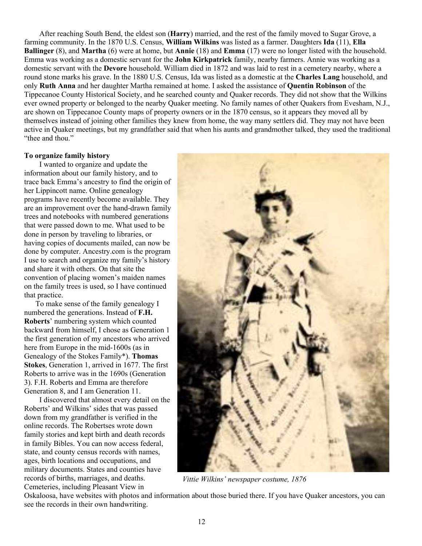After reaching South Bend, the eldest son (**Harry**) married, and the rest of the family moved to Sugar Grove, a farming community. In the 1870 U.S. Census, **William Wilkins** was listed as a farmer. Daughters **Ida** (11), **Ella Ballinger** (8), and **Martha** (6) were at home, but **Annie** (18) and **Emma** (17) were no longer listed with the household. Emma was working as a domestic servant for the **John Kirkpatrick** family, nearby farmers. Annie was working as a domestic servant with the **Devore** household. William died in 1872 and was laid to rest in a cemetery nearby, where a round stone marks his grave. In the 1880 U.S. Census, Ida was listed as a domestic at the **Charles Lang** household, and only **Ruth Anna** and her daughter Martha remained at home. I asked the assistance of **Quentin Robinson** of the Tippecanoe County Historical Society, and he searched county and Quaker records. They did not show that the Wilkins ever owned property or belonged to the nearby Quaker meeting. No family names of other Quakers from Evesham, N.J., are shown on Tippecanoe County maps of property owners or in the 1870 census, so it appears they moved all by themselves instead of joining other families they knew from home, the way many settlers did. They may not have been active in Quaker meetings, but my grandfather said that when his aunts and grandmother talked, they used the traditional "thee and thou."

#### **To organize family history**

 I wanted to organize and update the information about our family history, and to trace back Emma's ancestry to find the origin of her Lippincott name. Online genealogy programs have recently become available. They are an improvement over the hand-drawn family trees and notebooks with numbered generations that were passed down to me. What used to be done in person by traveling to libraries, or having copies of documents mailed, can now be done by computer. Ancestry.com is the program I use to search and organize my family's history and share it with others. On that site the convention of placing women's maiden names on the family trees is used, so I have continued that practice.

 To make sense of the family genealogy I numbered the generations. Instead of **F.H. Roberts**' numbering system which counted backward from himself, I chose as Generation 1 the first generation of my ancestors who arrived here from Europe in the mid-1600s (as in Genealogy of the Stokes Family\*). **Thomas Stokes**, Generation 1, arrived in 1677. The first Roberts to arrive was in the 1690s (Generation 3). F.H. Roberts and Emma are therefore Generation 8, and I am Generation 11.

 I discovered that almost every detail on the Roberts' and Wilkins' sides that was passed down from my grandfather is verified in the online records. The Robertses wrote down family stories and kept birth and death records in family Bibles. You can now access federal, state, and county census records with names, ages, birth locations and occupations, and military documents. States and counties have records of births, marriages, and deaths. Cemeteries, including Pleasant View in



*Vittie Wilkins' newspaper costume, 1876*

Oskaloosa, have websites with photos and information about those buried there. If you have Quaker ancestors, you can see the records in their own handwriting.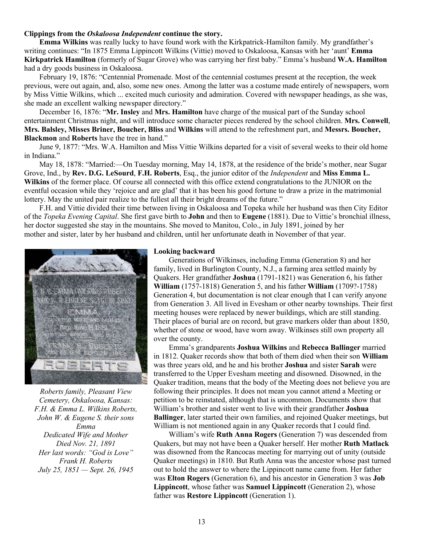#### **Clippings from the** *Oskaloosa Independent* **continue the story.**

 **Emma Wilkins** was really lucky to have found work with the Kirkpatrick-Hamilton family. My grandfather's writing continues: "In 1875 Emma Lippincott Wilkins (Vittie) moved to Oskaloosa, Kansas with her 'aunt' **Emma Kirkpatrick Hamilton** (formerly of Sugar Grove) who was carrying her first baby." Emma's husband **W.A. Hamilton** had a dry goods business in Oskaloosa.

 February 19, 1876: "Centennial Promenade. Most of the centennial costumes present at the reception, the week previous, were out again, and, also, some new ones. Among the latter was a costume made entirely of newspapers, worn by Miss Vittie Wilkins, which ... excited much curiosity and admiration. Covered with newspaper headings, as she was, she made an excellent walking newspaper directory."

 December 16, 1876: "**Mr. Insley** and **Mrs. Hamilton** have charge of the musical part of the Sunday school entertainment Christmas night, and will introduce some character pieces rendered by the school children. **Mrs. Conwell**, **Mrs. Balsley, Misses Briner, Boucher, Bliss** and **Wilkins** will attend to the refreshment part, and **Messrs. Boucher, Blackmon** and **Roberts** have the tree in hand."

 June 9, 1877: "Mrs. W.A. Hamilton and Miss Vittie Wilkins departed for a visit of several weeks to their old home in Indiana."

 May 18, 1878: "Married:—On Tuesday morning, May 14, 1878, at the residence of the bride's mother, near Sugar Grove, Ind., by **Rev. D.G. LeSourd**, **F.H. Roberts**, Esq., the junior editor of the *Independent* and **Miss Emma L. Wilkins** of the former place. Of course all connected with this office extend congratulations to the JUNIOR on the eventful occasion while they 'rejoice and are glad' that it has been his good fortune to draw a prize in the matrimonial lottery. May the united pair realize to the fullest all their bright dreams of the future."

 F.H. and Vittie divided their time between living in Oskaloosa and Topeka while her husband was then City Editor of the *Topeka Evening Capital*. She first gave birth to **John** and then to **Eugene** (1881). Due to Vittie's bronchial illness, her doctor suggested she stay in the mountains. She moved to Manitou, Colo., in July 1891, joined by her mother and sister, later by her husband and children, until her unfortunate death in November of that year.



*Roberts family, Pleasant View Cemetery, Oskaloosa, Kansas: F.H. & Emma L. Wilkins Roberts, John W. & Eugene S. their sons Emma Dedicated Wife and Mother Died Nov. 21, 1891 Her last words: "God is Love" Frank H. Roberts July 25, 1851 — Sept. 26, 1945*

#### **Looking backward**

 Generations of Wilkinses, including Emma (Generation 8) and her family, lived in Burlington County, N.J., a farming area settled mainly by Quakers. Her grandfather **Joshua** (1791-1821) was Generation 6, his father **William** (1757-1818) Generation 5, and his father **William** (1709?-1758) Generation 4, but documentation is not clear enough that I can verify anyone from Generation 3. All lived in Evesham or other nearby townships. Their first meeting houses were replaced by newer buildings, which are still standing. Their places of burial are on record, but grave markers older than about 1850, whether of stone or wood, have worn away. Wilkinses still own property all over the county.

 Emma's grandparents **Joshua Wilkins** and **Rebecca Ballinger** married in 1812. Quaker records show that both of them died when their son **William** was three years old, and he and his brother **Joshua** and sister **Sarah** were transferred to the Upper Evesham meeting and disowned. Disowned, in the Quaker tradition, means that the body of the Meeting does not believe you are following their principles. It does not mean you cannot attend a Meeting or petition to be reinstated, although that is uncommon. Documents show that William's brother and sister went to live with their grandfather **Joshua Ballinger**, later started their own families, and rejoined Quaker meetings, but William is not mentioned again in any Quaker records that I could find.

 William's wife **Ruth Anna Rogers** (Generation 7) was descended from Quakers, but may not have been a Quaker herself. Her mother **Ruth Matlack** was disowned from the Rancocas meeting for marrying out of unity (outside Quaker meetings) in 1810. But Ruth Anna was the ancestor whose past turned out to hold the answer to where the Lippincott name came from. Her father was **Elton Rogers** (Generation 6), and his ancestor in Generation 3 was **Job Lippincott**, whose father was **Samuel Lippincott** (Generation 2), whose father was **Restore Lippincott** (Generation 1).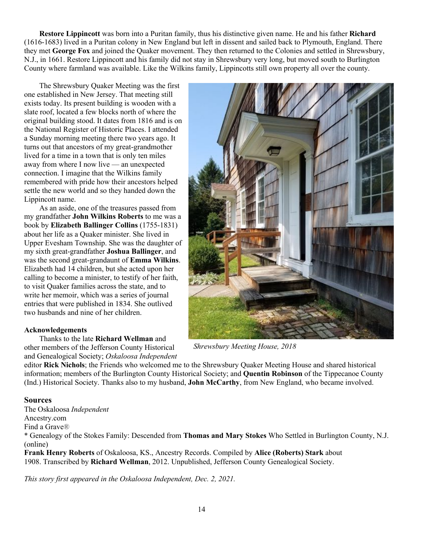**Restore Lippincott** was born into a Puritan family, thus his distinctive given name. He and his father **Richard** (1616-1683) lived in a Puritan colony in New England but left in dissent and sailed back to Plymouth, England. There they met **George Fox** and joined the Quaker movement. They then returned to the Colonies and settled in Shrewsbury, N.J., in 1661. Restore Lippincott and his family did not stay in Shrewsbury very long, but moved south to Burlington County where farmland was available. Like the Wilkins family, Lippincotts still own property all over the county.

 The Shrewsbury Quaker Meeting was the first one established in New Jersey. That meeting still exists today. Its present building is wooden with a slate roof, located a few blocks north of where the original building stood. It dates from 1816 and is on the National Register of Historic Places. I attended a Sunday morning meeting there two years ago. It turns out that ancestors of my great-grandmother lived for a time in a town that is only ten miles away from where I now live — an unexpected connection. I imagine that the Wilkins family remembered with pride how their ancestors helped settle the new world and so they handed down the Lippincott name.

 As an aside, one of the treasures passed from my grandfather **John Wilkins Roberts** to me was a book by **Elizabeth Ballinger Collins** (1755-1831) about her life as a Quaker minister. She lived in Upper Evesham Township. She was the daughter of my sixth great-grandfather **Joshua Ballinger**, and was the second great-grandaunt of **Emma Wilkins**. Elizabeth had 14 children, but she acted upon her calling to become a minister, to testify of her faith, to visit Quaker families across the state, and to write her memoir, which was a series of journal entries that were published in 1834. She outlived two husbands and nine of her children.

#### **Acknowledgements**

#### Thanks to the late **Richard Wellman** and

other members of the Jefferson County Historical and Genealogical Society; *Oskaloosa Independent*



*Shrewsbury Meeting House, 2018*

editor **Rick Nichols**; the Friends who welcomed me to the Shrewsbury Quaker Meeting House and shared historical information; members of the Burlington County Historical Society; and **Quentin Robinson** of the Tippecanoe County (Ind.) Historical Society. Thanks also to my husband, **John McCarthy**, from New England, who became involved.

### **Sources**

The Oskaloosa *Independent* Ancestry.com

Find a Grave®

\* Genealogy of the Stokes Family: Descended from **Thomas and Mary Stokes** Who Settled in Burlington County, N.J. (online)

**Frank Henry Roberts** of Oskaloosa, KS., Ancestry Records. Compiled by **Alice (Roberts) Stark** about 1908. Transcribed by **Richard Wellman**, 2012. Unpublished, Jefferson County Genealogical Society.

*This story first appeared in the Oskaloosa Independent, Dec. 2, 2021.*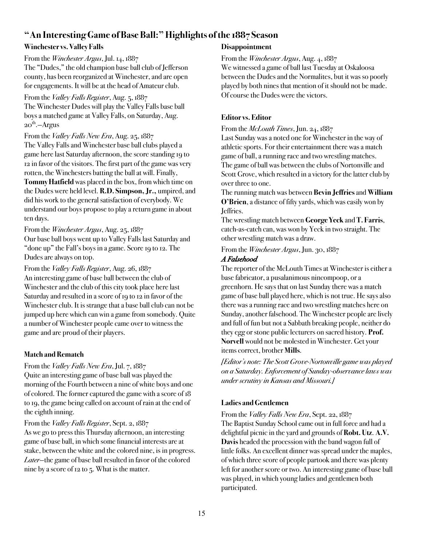## **"An Interesting Game of Base Ball:" Highlights of the 1887 Season**

### **Winchester vs. Valley Falls**

#### From the *Winchester Argus*, Jul. 14, 1887

The "Dudes," the old champion base ball club of Jefferson county, has been reorganized at Winchester, and are open for engagements. It will be at the head of Amateur club.

### From the *Valley Falls Register*, Aug. 5, 1887

The Winchester Dudes will play the Valley Falls base ball boys a matched game at Valley Falls, on Saturday, Aug.  $2O<sup>th</sup>$ . - Argus

From the *Valley Falls New Era*, Aug. 25, 1887 The Valley Falls and Winchester base ball clubs played a game here last Saturday afternoon, the score standing 19 to 12 in favor of the visitors. The first part of the game was very rotten, the Winchesters batting the ball at will. Finally, **Tommy Hatfield** was placed in the box, from which time on the Dudes were held level. **R.D. Simpson, Jr.,** umpired, and did his work to the general satisfaction of everybody. We understand our boys propose to play a return game in about ten days.

From the *Winchester Argus*, Aug. 25, 1887 Our base ball boys went up to Valley Falls last Saturday and "done up" the Fall's boys in a game. Score 19 to 12. The Dudes are always on top.

From the *Valley Falls Register*, Aug. 26, 1887 An interesting game of base ball between the club of Winchester and the club of this city took place here last Saturday and resulted in a score of 19 to 12 in favor of the Winchester club. It is strange that a base ball club can not be jumped up here which can win a game from somebody. Quite a number of Winchester people came over to witness the game and are proud of their players.

## **Match and Rematch**

### From the *Valley Falls New Era*, Jul. 7, 1887

Quite an interesting game of base ball was played the morning of the Fourth between a nine of white boys and one of colored. The former captured the game with a score of 18 to 19, the game being called on account of rain at the end of the eighth inning.

### From the *Valley Falls Register*, Sept. 2, 1887

As we go to press this Thursday afternoon, an interesting game of base ball, in which some financial interests are at stake, between the white and the colored nine, is in progress. *Later*—the game of base ball resulted in favor of the colored nine by a score of 12 to 5. What is the matter.

### **Disappointment**

From the *Winchester Argus*, Aug. 4, 1887

We witnessed a game of ball last Tuesday at Oskaloosa between the Dudes and the Normalites, but it was so poorly played by both nines that mention of it should not be made. Of course the Dudes were the victors.

## **Editor vs. Editor**

From the *McLouth Times*, Jun. 24, 1887

Last Sunday was a noted one for Winchester in the way of athletic sports. For their entertainment there was a match game of ball, a running race and two wrestling matches. The game of ball was between the clubs of Nortonville and Scott Grove, which resulted in a victory for the latter club by over three to one.

The running match was between **Bevin Jeffries**and **William O'Brien**, a distance of fifty yards, which was easily won by Jeffries.

The wrestling match between **George Yeck** and **T. Farris**, catch-as-catch can, was won by Yeck in two straight. The other wrestling match was a draw.

## From the *Winchester Argus*, Jun. 30, 1887

### *A Falsehood*

The reporter of the McLouth Times at Winchester is either a base fabricator, a pusalanimous nincompoop, or a greenhorn. He says that on last Sunday there was a match game of base ball played here, which is not true. He says also there was a running race and two wrestling matches here on Sunday, another falsehood. The Winchester people are lively and full of fun but not a Sabbath breaking people, neither do they egg or stone public lecturers on sacred history. **Prof. Norvell** would not be molested in Winchester. Get your items correct, brother **Mills**.

*[Editor's note: The Scott Grove-Nortonville game was played on a Saturday. Enforcement of Sunday-observance laws was under scrutiny in Kansas and Missouri.]*

## **Ladies andGentlemen**

From the *Valley Falls New Era*, Sept. 22, 1887 The Baptist Sunday School came out in full force and had a delightful picnic in the yard and grounds of **Robt. Utz**. **A.V. Davis** headed the procession with the band wagon full of little folks. An excellent dinner was spread under the maples, of which three score of people partook and there was plenty left for another score or two. An interesting game of base ball was played, in which young ladies and gentlemen both participated.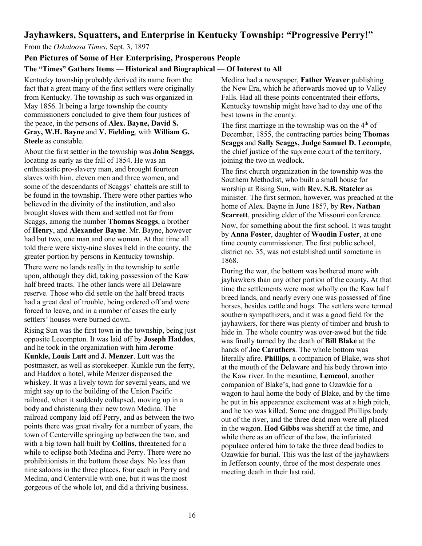## **Jayhawkers, Squatters, and Enterprise in Kentucky Township: "Progressive Perry!"**

From the *Oskaloosa Times*, Sept. 3, 1897

### **Pen Pictures of Some of Her Enterprising, Prosperous People**

### **The "Times" Gathers Items — Historical and Biographical — Of Interest to All**

Kentucky township probably derived its name from the fact that a great many of the first settlers were originally from Kentucky. The township as such was organized in May 1856. It being a large township the county commissioners concluded to give them four justices of the peace, in the persons of **Alex. Bayne, David S. Gray, W.H. Bayne** and **V. Fielding**, with **William G. Steele** as constable.

About the first settler in the township was **John Scaggs**, locating as early as the fall of 1854. He was an enthusiastic pro-slavery man, and brought fourteen slaves with him, eleven men and three women, and some of the descendants of Scaggs' chattels are still to be found in the township. There were other parties who believed in the divinity of the institution, and also brought slaves with them and settled not far from Scaggs, among the number **Thomas Scaggs**, a brother of **Henry**, and **Alexander Bayne**. Mr. Bayne, however had but two, one man and one woman. At that time all told there were sixty-nine slaves held in the county, the greater portion by persons in Kentucky township.

There were no lands really in the township to settle upon, although they did, taking possession of the Kaw half breed tracts. The other lands were all Delaware reserve. Those who did settle on the half breed tracts had a great deal of trouble, being ordered off and were forced to leave, and in a number of cases the early settlers' houses were burned down.

Rising Sun was the first town in the township, being just opposite Lecompton. It was laid off by **Joseph Haddox**, and he took in the organization with him **Jerome Kunkle, Louis Lutt** and **J. Menzer**. Lutt was the postmaster, as well as storekeeper. Kunkle run the ferry, and Haddox a hotel, while Menzer dispensed the whiskey. It was a lively town for several years, and we might say up to the building of the Union Pacific railroad, when it suddenly collapsed, moving up in a body and christening their new town Medina. The railroad company laid off Perry, and as between the two points there was great rivalry for a number of years, the town of Centerville springing up between the two, and with a big town hall built by **Collins**, threatened for a while to eclipse both Medina and Perry. There were no prohibitionists in the bottom those days. No less than nine saloons in the three places, four each in Perry and Medina, and Centerville with one, but it was the most gorgeous of the whole lot, and did a thriving business.

Medina had a newspaper, **Father Weaver** publishing the New Era, which he afterwards moved up to Valley Falls. Had all these points concentrated their efforts, Kentucky township might have had to day one of the best towns in the county.

The first marriage in the township was on the  $4<sup>th</sup>$  of December, 1855, the contracting parties being **Thomas Scaggs** and **Sally Scaggs, Judge Samuel D. Lecompte**, the chief justice of the supreme court of the territory, joining the two in wedlock.

The first church organization in the township was the Southern Methodist, who built a small house for worship at Rising Sun, with **Rev. S.B. Statcler** as minister. The first sermon, however, was preached at the home of Alex. Bayne in June 1857, by **Rev. Nathan Scarrett**, presiding elder of the Missouri conference.

Now, for something about the first school. It was taught by **Anna Foster**, daughter of **Woodin Foster**, at one time county commissioner. The first public school, district no. 35, was not established until sometime in 1868.

During the war, the bottom was bothered more with jayhawkers than any other portion of the county. At that time the settlements were most wholly on the Kaw half breed lands, and nearly every one was possessed of fine horses, besides cattle and hogs. The settlers were termed southern sympathizers, and it was a good field for the jayhawkers, for there was plenty of timber and brush to hide in. The whole country was over-awed but the tide was finally turned by the death of **Bill Blake** at the hands of **Joe Caruthers**. The whole bottom was literally afire. **Phillips**, a companion of Blake, was shot at the mouth of the Delaware and his body thrown into the Kaw river. In the meantime, **Lemcool**, another companion of Blake's, had gone to Ozawkie for a wagon to haul home the body of Blake, and by the time he put in his appearance excitement was at a high pitch, and he too was killed. Some one dragged Phillips body out of the river, and the three dead men were all placed in the wagon. **Hod Gibbs** was sheriff at the time, and while there as an officer of the law, the infuriated populace ordered him to take the three dead bodies to Ozawkie for burial. This was the last of the jayhawkers in Jefferson county, three of the most desperate ones meeting death in their last raid.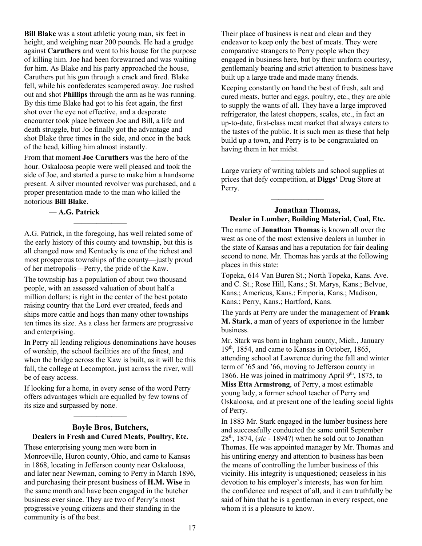**Bill Blake** was a stout athletic young man, six feet in height, and weighing near 200 pounds. He had a grudge against **Caruthers** and went to his house for the purpose of killing him. Joe had been forewarned and was waiting for him. As Blake and his party approached the house, Caruthers put his gun through a crack and fired. Blake fell, while his confederates scampered away. Joe rushed out and shot **Phillips** through the arm as he was running. By this time Blake had got to his feet again, the first shot over the eye not effective, and a desperate encounter took place between Joe and Bill, a life and death struggle, but Joe finally got the advantage and shot Blake three times in the side, and once in the back of the head, killing him almost instantly.

From that moment **Joe Caruthers** was the hero of the hour. Oskaloosa people were well pleased and took the side of Joe, and started a purse to make him a handsome present. A silver mounted revolver was purchased, and a proper presentation made to the man who killed the notorious **Bill Blake**.

### — **A.G. Patrick**

A.G. Patrick, in the foregoing, has well related some of the early history of this county and township, but this is all changed now and Kentucky is one of the richest and most prosperous townships of the county—justly proud of her metropolis—Perry, the pride of the Kaw.

———————

The township has a population of about two thousand people, with an assessed valuation of about half a million dollars; is right in the center of the best potato raising country that the Lord ever created, feeds and ships more cattle and hogs than many other townships ten times its size. As a class her farmers are progressive and enterprising.

In Perry all leading religious denominations have houses of worship, the school facilities are of the finest, and when the bridge across the Kaw is built, as it will be this fall, the college at Lecompton, just across the river, will be of easy access.

If looking for a home, in every sense of the word Perry offers advantages which are equalled by few towns of its size and surpassed by none.

———————

#### **Boyle Bros, Butchers, Dealers in Fresh and Cured Meats, Poultry, Etc.**

These enterprising young men were born in Monroeville, Huron county, Ohio, and came to Kansas in 1868, locating in Jefferson county near Oskaloosa, and later near Newman, coming to Perry in March 1896, and purchasing their present business of **H.M. Wise** in the same month and have been engaged in the butcher business ever since. They are two of Perry's most progressive young citizens and their standing in the community is of the best.

Their place of business is neat and clean and they endeavor to keep only the best of meats. They were comparative strangers to Perry people when they engaged in business here, but by their uniform courtesy, gentlemanly bearing and strict attention to business have built up a large trade and made many friends.

Keeping constantly on hand the best of fresh, salt and cured meats, butter and eggs, poultry, etc., they are able to supply the wants of all. They have a large improved refrigerator, the latest choppers, scales, etc., in fact an up-to-date, first-class meat market that always caters to the tastes of the public. It is such men as these that help build up a town, and Perry is to be congratulated on having them in her midst.

Large variety of writing tablets and school supplies at prices that defy competition, at **Diggs'** Drug Store at Perry.

 $\overline{\phantom{a}}$ 

 $\overline{\phantom{a}}$ 

#### **Jonathan Thomas, Dealer in Lumber, Building Material, Coal, Etc.**

The name of **Jonathan Thomas** is known all over the west as one of the most extensive dealers in lumber in the state of Kansas and has a reputation for fair dealing second to none. Mr. Thomas has yards at the following places in this state:

Topeka, 614 Van Buren St.; North Topeka, Kans. Ave. and C. St.; Rose Hill, Kans.; St. Marys, Kans.; Belvue, Kans.; Americus, Kans.; Emporia, Kans.; Madison, Kans.; Perry, Kans.; Hartford, Kans.

The yards at Perry are under the management of **Frank M. Stark**, a man of years of experience in the lumber business.

Mr. Stark was born in Ingham county, Mich., January 19<sup>th</sup>, 1854, and came to Kansas in October, 1865, attending school at Lawrence during the fall and winter term of '65 and '66, moving to Jefferson county in 1866. He was joined in matrimony April  $9<sup>th</sup>$ , 1875, to **Miss Etta Armstrong**, of Perry, a most estimable young lady, a former school teacher of Perry and Oskaloosa, and at present one of the leading social lights of Perry.

In 1883 Mr. Stark engaged in the lumber business here and successfully conducted the same until September 28th, 1874, (*sic* - 1894?) when he sold out to Jonathan Thomas. He was appointed manager by Mr. Thomas and his untiring energy and attention to business has been the means of controlling the lumber business of this vicinity. His integrity is unquestioned; ceaseless in his devotion to his employer's interests, has won for him the confidence and respect of all, and it can truthfully be said of him that he is a gentleman in every respect, one whom it is a pleasure to know.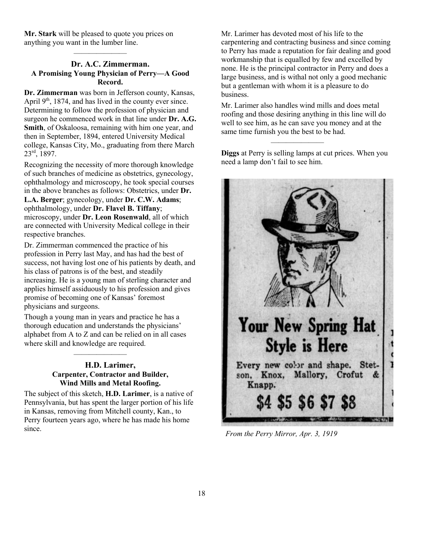**Mr. Stark** will be pleased to quote you prices on anything you want in the lumber line.

———————

#### **Dr. A.C. Zimmerman. A Promising Young Physician of Perry—A Good Record.**

**Dr. Zimmerman** was born in Jefferson county, Kansas, April  $9<sup>th</sup>$ , 1874, and has lived in the county ever since. Determining to follow the profession of physician and surgeon he commenced work in that line under **Dr. A.G. Smith**, of Oskaloosa, remaining with him one year, and then in September, 1894, entered University Medical college, Kansas City, Mo., graduating from there March 23rd, 1897.

Recognizing the necessity of more thorough knowledge of such branches of medicine as obstetrics, gynecology, ophthalmology and microscopy, he took special courses in the above branches as follows: Obstetrics, under **Dr. L.A. Berger**; gynecology, under **Dr. C.W. Adams**; ophthalmology, under **Dr. Flavel B. Tiffany**; microscopy, under **Dr. Leon Rosenwald**, all of which are connected with University Medical college in their respective branches.

Dr. Zimmerman commenced the practice of his profession in Perry last May, and has had the best of success, not having lost one of his patients by death, and his class of patrons is of the best, and steadily increasing. He is a young man of sterling character and applies himself assiduously to his profession and gives promise of becoming one of Kansas' foremost physicians and surgeons.

Though a young man in years and practice he has a thorough education and understands the physicians' alphabet from A to Z and can be relied on in all cases where skill and knowledge are required.

———————

### **H.D. Larimer, Carpenter, Contractor and Builder, Wind Mills and Metal Roofing.**

The subject of this sketch, **H.D. Larimer**, is a native of Pennsylvania, but has spent the larger portion of his life in Kansas, removing from Mitchell county, Kan., to Perry fourteen years ago, where he has made his home since.

Mr. Larimer has devoted most of his life to the carpentering and contracting business and since coming to Perry has made a reputation for fair dealing and good workmanship that is equalled by few and excelled by none. He is the principal contractor in Perry and does a large business, and is withal not only a good mechanic but a gentleman with whom it is a pleasure to do business.

Mr. Larimer also handles wind mills and does metal roofing and those desiring anything in this line will do well to see him, as he can save you money and at the same time furnish you the best to be had.

**Diggs** at Perry is selling lamps at cut prices. When you need a lamp don't fail to see him.

 $\overline{\phantom{a}}$ 



*From the Perry Mirror, Apr. 3, 1919*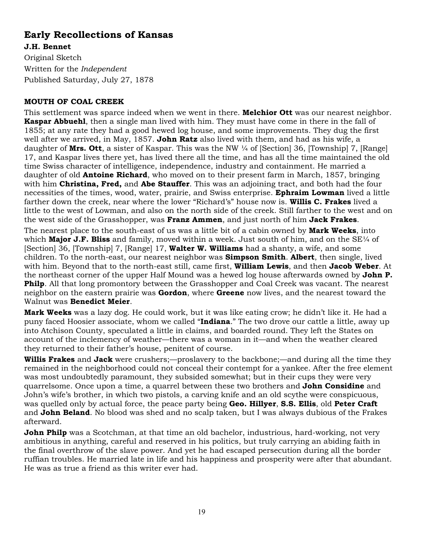# **Early Recollections of Kansas**

**J.H. Bennet** Original Sketch Written for the *Independent* Published Saturday, July 27, 1878

### **MOUTH OF COAL CREEK**

This settlement was sparce indeed when we went in there. **Melchior Ott** was our nearest neighbor. **Kaspar Abbuehl**, then a single man lived with him. They must have come in there in the fall of 1855; at any rate they had a good hewed log house, and some improvements. They dug the first well after we arrived, in May, 1857. **John Ratz** also lived with them, and had as his wife, a daughter of **Mrs. Ott**, a sister of Kaspar. This was the NW ¼ of [Section] 36, [Township] 7, [Range] 17, and Kaspar lives there yet, has lived there all the time, and has all the time maintained the old time Swiss character of intelligence, independence, industry and containment. He married a daughter of old **Antoine Richard**, who moved on to their present farm in March, 1857, bringing with him **Christina, Fred,** and **Abe Stauffer**. This was an adjoining tract, and both had the four necessities of the times, wood, water, prairie, and Swiss enterprise. **Ephraim Lowman** lived a little farther down the creek, near where the lower "Richard's" house now is. **Willis C. Frakes** lived a little to the west of Lowman, and also on the north side of the creek. Still farther to the west and on the west side of the Grasshopper, was **Franz Ammen**, and just north of him **Jack Frakes**.

The nearest place to the south-east of us was a little bit of a cabin owned by **Mark Weeks**, into which **Major J.F. Bliss** and family, moved within a week. Just south of him, and on the SE<sup>1/4</sup> of [Section] 36, [Township] 7, [Range] 17, **Walter W. Williams** had a shanty, a wife, and some children. To the north-east, our nearest neighbor was **Simpson Smith**. **Albert**, then single, lived with him. Beyond that to the north-east still, came first, **William Lewis**, and then **Jacob Weber**. At the northeast corner of the upper Half Mound was a hewed log house afterwards owned by **John P. Philp**. All that long promontory between the Grasshopper and Coal Creek was vacant. The nearest neighbor on the eastern prairie was **Gordon**, where **Greene** now lives, and the nearest toward the Walnut was **Benedict Meier**.

**Mark Weeks** was a lazy dog. He could work, but it was like eating crow; he didn't like it. He had a puny faced Hoosier associate, whom we called "**Indiana**." The two drove our cattle a little, away up into Atchison County, speculated a little in claims, and boarded round. They left the States on account of the inclemency of weather—there was a woman in it—and when the weather cleared they returned to their father's house, penitent of course.

**Willis Frakes** and **Jack** were crushers;—proslavery to the backbone;—and during all the time they remained in the neighborhood could not conceal their contempt for a yankee. After the free element was most undoubtedly paramount, they subsided somewhat; but in their cups they were very quarrelsome. Once upon a time, a quarrel between these two brothers and **John Considine** and John's wife's brother, in which two pistols, a carving knife and an old scythe were conspicuous, was quelled only by actual force, the peace party being **Geo. Hillyer**, **S.S. Ellis**, old **Peter Craft** and **John Beland**. No blood was shed and no scalp taken, but I was always dubious of the Frakes afterward.

**John Philp** was a Scotchman, at that time an old bachelor, industrious, hard-working, not very ambitious in anything, careful and reserved in his politics, but truly carrying an abiding faith in the final overthrow of the slave power. And yet he had escaped persecution during all the border ruffian troubles. He married late in life and his happiness and prosperity were after that abundant. He was as true a friend as this writer ever had.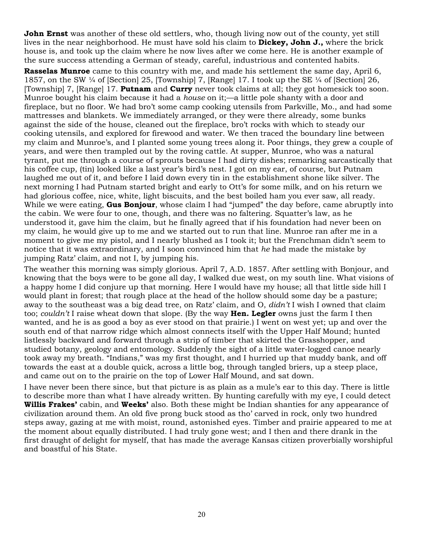**John Ernst** was another of these old settlers, who, though living now out of the county, yet still lives in the near neighborhood. He must have sold his claim to **Dickey, John J.,** where the brick house is, and took up the claim where he now lives after we come here. He is another example of the sure success attending a German of steady, careful, industrious and contented habits.

**Rasselas Munroe** came to this country with me, and made his settlement the same day, April 6, 1857, on the SW ¼ of [Section] 25, [Township] 7, [Range] 17. I took up the SE ¼ of [Section] 26, [Township] 7, [Range] 17. **Putnam** and **Curry** never took claims at all; they got homesick too soon. Munroe bought his claim because it had a *house* on it;—a little pole shanty with a door and fireplace, but no floor. We had bro't some camp cooking utensils from Parkville, Mo., and had some mattresses and blankets. We immediately arranged, or they were there already, some bunks against the side of the house, cleaned out the fireplace, bro't rocks with which to steady our cooking utensils, and explored for firewood and water. We then traced the boundary line between my claim and Munroe's, and I planted some young trees along it. Poor things, they grew a couple of years, and were then trampled out by the roving cattle. At supper, Munroe, who was a natural tyrant, put me through a course of sprouts because I had dirty dishes; remarking sarcastically that his coffee cup, (tin) looked like a last year's bird's nest. I got on my ear, of course, but Putnam laughed me out of it, and before I laid down every tin in the establishment shone like silver. The next morning I had Putnam started bright and early to Ott's for some milk, and on his return we had glorious coffee, nice, white, light biscuits, and the best boiled ham you ever saw, all ready. While we were eating, **Gus Bonjour**, whose claim I had "jumped" the day before, came abruptly into the cabin. We were four to one, though, and there was no faltering. Squatter's law, as he understood it, gave him the claim, but he finally agreed that if his foundation had never been on my claim, he would give up to me and we started out to run that line. Munroe ran after me in a moment to give me my pistol, and I nearly blushed as I took it; but the Frenchman didn't seem to notice that it was extraordinary, and I soon convinced him that *he* had made the mistake by jumping Ratz' claim, and not I, by jumping his.

The weather this morning was simply glorious. April 7, A.D. 1857. After settling with Bonjour, and knowing that the boys were to be gone all day, I walked due west, on my south line. What visions of a happy home I did conjure up that morning. Here I would have my house; all that little side hill I would plant in forest; that rough place at the head of the hollow should some day be a pasture; away to the southeast was a big dead tree, on Ratz' claim, and O, *didn't* I wish I owned that claim too; *couldn't* I raise wheat down that slope. (By the way **Hen. Legler** owns just the farm I then wanted, and he is as good a boy as ever stood on that prairie.) I went on west yet; up and over the south end of that narrow ridge which almost connects itself with the Upper Half Mound; hunted listlessly backward and forward through a strip of timber that skirted the Grasshopper, and studied botany, geology and entomology. Suddenly the sight of a little water-logged canoe nearly took away my breath. "Indians," was my first thought, and I hurried up that muddy bank, and off towards the east at a double quick, across a little bog, through tangled briers, up a steep place, and came out on to the prairie on the top of Lower Half Mound, and sat down.

I have never been there since, but that picture is as plain as a mule's ear to this day. There is little to describe more than what I have already written. By hunting carefully with my eye, I could detect **Willis Frakes'** cabin, and **Weeks'** also. Both these might be Indian shanties for any appearance of civilization around them. An old five prong buck stood as tho' carved in rock, only two hundred steps away, gazing at me with moist, round, astonished eyes. Timber and prairie appeared to me at the moment about equally distributed. I had truly gone west; and I then and there drank in the first draught of delight for myself, that has made the average Kansas citizen proverbially worshipful and boastful of his State.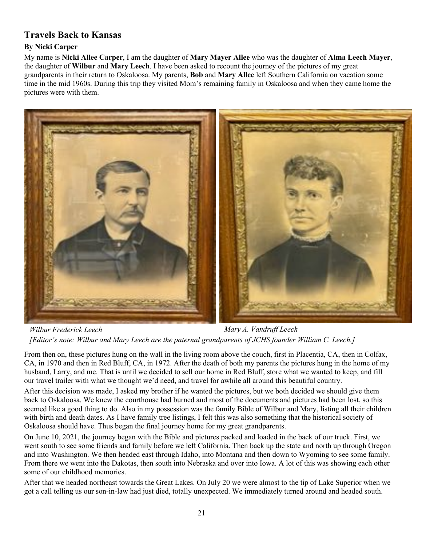## **Travels Back to Kansas**

## **By Nicki Carper**

My name is **Nicki Allee Carper**, I am the daughter of **Mary Mayer Allee** who was the daughter of **Alma Leech Mayer**, the daughter of **Wilbur** and **Mary Leech**. I have been asked to recount the journey of the pictures of my great grandparents in their return to Oskaloosa. My parents, **Bob** and **Mary Allee** left Southern California on vacation some time in the mid 1960s. During this trip they visited Mom's remaining family in Oskaloosa and when they came home the pictures were with them.



*Wilbur Frederick Leech Mary A. Vandruff Leech [Editor's note: Wilbur and Mary Leech are the paternal grandparents of JCHS founder William C. Leech.]*

From then on, these pictures hung on the wall in the living room above the couch, first in Placentia, CA, then in Colfax, CA, in 1970 and then in Red Bluff, CA, in 1972. After the death of both my parents the pictures hung in the home of my husband, Larry, and me. That is until we decided to sell our home in Red Bluff, store what we wanted to keep, and fill our travel trailer with what we thought we'd need, and travel for awhile all around this beautiful country.

After this decision was made, I asked my brother if he wanted the pictures, but we both decided we should give them back to Oskaloosa. We knew the courthouse had burned and most of the documents and pictures had been lost, so this seemed like a good thing to do. Also in my possession was the family Bible of Wilbur and Mary, listing all their children with birth and death dates. As I have family tree listings, I felt this was also something that the historical society of Oskaloosa should have. Thus began the final journey home for my great grandparents.

On June 10, 2021, the journey began with the Bible and pictures packed and loaded in the back of our truck. First, we went south to see some friends and family before we left California. Then back up the state and north up through Oregon and into Washington. We then headed east through Idaho, into Montana and then down to Wyoming to see some family. From there we went into the Dakotas, then south into Nebraska and over into Iowa. A lot of this was showing each other some of our childhood memories.

After that we headed northeast towards the Great Lakes. On July 20 we were almost to the tip of Lake Superior when we got a call telling us our son-in-law had just died, totally unexpected. We immediately turned around and headed south.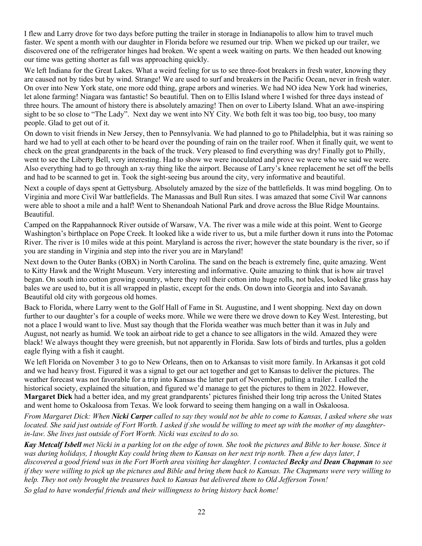I flew and Larry drove for two days before putting the trailer in storage in Indianapolis to allow him to travel much faster. We spent a month with our daughter in Florida before we resumed our trip. When we picked up our trailer, we discovered one of the refrigerator hinges had broken. We spent a week waiting on parts. We then headed out knowing our time was getting shorter as fall was approaching quickly.

We left Indiana for the Great Lakes. What a weird feeling for us to see three-foot breakers in fresh water, knowing they are caused not by tides but by wind. Strange! We are used to surf and breakers in the Pacific Ocean, never in fresh water. On over into New York state, one more odd thing, grape arbors and wineries. We had NO idea New York had wineries, let alone farming! Niagara was fantastic! So beautiful. Then on to Ellis Island where I wished for three days instead of three hours. The amount of history there is absolutely amazing! Then on over to Liberty Island. What an awe-inspiring sight to be so close to "The Lady". Next day we went into NY City. We both felt it was too big, too busy, too many people. Glad to get out of it.

On down to visit friends in New Jersey, then to Pennsylvania. We had planned to go to Philadelphia, but it was raining so hard we had to yell at each other to be heard over the pounding of rain on the trailer roof. When it finally quit, we went to check on the great grandparents in the back of the truck. Very pleased to find everything was dry! Finally got to Philly, went to see the Liberty Bell, very interesting. Had to show we were inoculated and prove we were who we said we were. Also everything had to go through an x-ray thing like the airport. Because of Larry's knee replacement he set off the bells and had to be scanned to get in. Took the sight-seeing bus around the city, very informative and beautiful.

Next a couple of days spent at Gettysburg. Absolutely amazed by the size of the battlefields. It was mind boggling. On to Virginia and more Civil War battlefields. The Manassas and Bull Run sites. I was amazed that some Civil War cannons were able to shoot a mile and a half! Went to Shenandoah National Park and drove across the Blue Ridge Mountains. Beautiful.

Camped on the Rappahannock River outside of Warsaw, VA. The river was a mile wide at this point. Went to George Washington's birthplace on Pope Creek. It looked like a wide river to us, but a mile further down it runs into the Potomac River. The river is 10 miles wide at this point. Maryland is across the river; however the state boundary is the river, so if you are standing in Virginia and step into the river you are in Maryland!

Next down to the Outer Banks (OBX) in North Carolina. The sand on the beach is extremely fine, quite amazing. Went to Kitty Hawk and the Wright Museum. Very interesting and informative. Quite amazing to think that is how air travel began. On south into cotton growing country, where they roll their cotton into huge rolls, not bales, looked like grass hay bales we are used to, but it is all wrapped in plastic, except for the ends. On down into Georgia and into Savanah. Beautiful old city with gorgeous old homes.

Back to Florida, where Larry went to the Golf Hall of Fame in St. Augustine, and I went shopping. Next day on down further to our daughter's for a couple of weeks more. While we were there we drove down to Key West. Interesting, but not a place I would want to live. Must say though that the Florida weather was much better than it was in July and August, not nearly as humid. We took an airboat ride to get a chance to see alligators in the wild. Amazed they were black! We always thought they were greenish, but not apparently in Florida. Saw lots of birds and turtles, plus a golden eagle flying with a fish it caught.

We left Florida on November 3 to go to New Orleans, then on to Arkansas to visit more family. In Arkansas it got cold and we had heavy frost. Figured it was a signal to get our act together and get to Kansas to deliver the pictures. The weather forecast was not favorable for a trip into Kansas the latter part of November, pulling a trailer. I called the historical society, explained the situation, and figured we'd manage to get the pictures to them in 2022. However, **Margaret Dick** had a better idea, and my great grandparents' pictures finished their long trip across the United States and went home to Oskaloosa from Texas. We look forward to seeing them hanging on a wall in Oskaloosa.

*From Margaret Dick: When Nicki Carper called to say they would not be able to come to Kansas, I asked where she was located. She said just outside of Fort Worth. I asked if she would be willing to meet up with the mother of my daughterin-law. She lives just outside of Fort Worth. Nicki was excited to do so.*

*Kay Metcalf Isbell met Nicki in a parking lot on the edge of town. She took the pictures and Bible to her house. Since it was during holidays, I thought Kay could bring them to Kansas on her next trip north. Then a few days later, I discovered a good friend was in the Fort Worth area visiting her daughter. I contacted Becky and Dean Chapman to see if they were willing to pick up the pictures and Bible and bring them back to Kansas. The Chapmans were very willing to help. They not only brought the treasures back to Kansas but delivered them to Old Jefferson Town!* 

*So glad to have wonderful friends and their willingness to bring history back home!*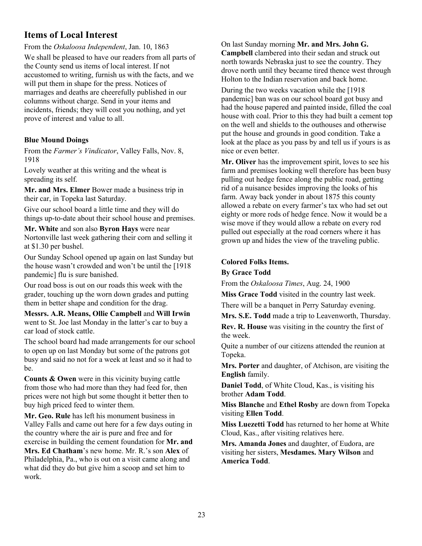## **Items of Local Interest**

From the *Oskaloosa Independent*, Jan. 10, 1863

We shall be pleased to have our readers from all parts of the County send us items of local interest. If not accustomed to writing, furnish us with the facts, and we will put them in shape for the press. Notices of marriages and deaths are cheerefully published in our columns without charge. Send in your items and incidents, friends; they will cost you nothing, and yet prove of interest and value to all.

### **Blue Mound Doings**

From the *Farmer's Vindicator*, Valley Falls, Nov. 8, 1918

Lovely weather at this writing and the wheat is spreading its self.

**Mr. and Mrs. Elmer** Bower made a business trip in their car, in Topeka last Saturday.

Give our school board a little time and they will do things up-to-date about their school house and premises.

**Mr. White** and son also **Byron Hays** were near Nortonville last week gathering their corn and selling it at \$1.30 per bushel.

Our Sunday School opened up again on last Sunday but the house wasn't crowded and won't be until the [1918 pandemic] flu is sure banished.

Our road boss is out on our roads this week with the grader, touching up the worn down grades and putting them in better shape and condition for the drag.

**Messrs. A.R. Means, Ollie Campbell** and **Will Irwin** went to St. Joe last Monday in the latter's car to buy a car load of stock cattle.

The school board had made arrangements for our school to open up on last Monday but some of the patrons got busy and said no not for a week at least and so it had to be.

**Counts & Owen** were in this vicinity buying cattle from those who had more than they had feed for, then prices were not high but some thought it better then to buy high priced feed to winter them.

**Mr. Geo. Rule** has left his monument business in Valley Falls and came out here for a few days outing in the country where the air is pure and free and for exercise in building the cement foundation for **Mr. and Mrs. Ed Chatham**'s new home. Mr. R.'s son **Alex** of Philadelphia, Pa., who is out on a visit came along and what did they do but give him a scoop and set him to work.

On last Sunday morning **Mr. and Mrs. John G. Campbell** clambered into their sedan and struck out north towards Nebraska just to see the country. They drove north until they became tired thence west through Holton to the Indian reservation and back home.

During the two weeks vacation while the [1918 pandemic] ban was on our school board got busy and had the house papered and painted inside, filled the coal house with coal. Prior to this they had built a cement top on the well and shields to the outhouses and otherwise put the house and grounds in good condition. Take a look at the place as you pass by and tell us if yours is as nice or even better.

**Mr. Oliver** has the improvement spirit, loves to see his farm and premises looking well therefore has been busy pulling out hedge fence along the public road, getting rid of a nuisance besides improving the looks of his farm. Away back yonder in about 1875 this county allowed a rebate on every farmer's tax who had set out eighty or more rods of hedge fence. Now it would be a wise move if they would allow a rebate on every rod pulled out especially at the road corners where it has grown up and hides the view of the traveling public.

#### **Colored Folks Items.**

#### **By Grace Todd**

From the *Oskaloosa Times*, Aug. 24, 1900

**Miss Grace Todd** visited in the country last week.

There will be a banquet in Perry Saturday evening.

**Mrs. S.E. Todd** made a trip to Leavenworth, Thursday.

**Rev. R. House** was visiting in the country the first of the week.

Quite a number of our citizens attended the reunion at Topeka.

**Mrs. Porter** and daughter, of Atchison, are visiting the **English** family.

**Daniel Todd**, of White Cloud, Kas., is visiting his brother **Adam Todd**.

**Miss Blanche** and **Ethel Rosby** are down from Topeka visiting **Ellen Todd**.

**Miss Luezetti Todd** has returned to her home at White Cloud, Kas., after visiting relatives here.

**Mrs. Amanda Jones** and daughter, of Eudora, are visiting her sisters, **Mesdames. Mary Wilson** and **America Todd**.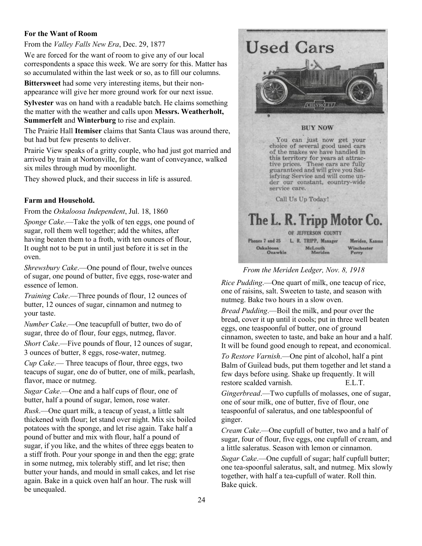#### **For the Want of Room**

#### From the *Valley Falls New Era*, Dec. 29, 1877

We are forced for the want of room to give any of our local correspondents a space this week. We are sorry for this. Matter has so accumulated within the last week or so, as to fill our columns.

**Bittersweet** had some very interesting items, but their nonappearance will give her more ground work for our next issue.

**Sylvester** was on hand with a readable batch. He claims something the matter with the weather and calls upon **Messrs. Weatherholt, Summerfelt** and **Winterburg** to rise and explain.

The Prairie Hall **Itemiser** claims that Santa Claus was around there, but had but few presents to deliver.

Prairie View speaks of a gritty couple, who had just got married and arrived by train at Nortonville, for the want of conveyance, walked six miles through mud by moonlight.

They showed pluck, and their success in life is assured.

#### **Farm and Household.**

From the *Oskaloosa Independent*, Jul. 18, 1860

*Sponge Cake*.—Take the yolk of ten eggs, one pound of sugar, roll them well together; add the whites, after having beaten them to a froth, with ten ounces of flour, It ought not to be put in until just before it is set in the oven.

*Shrewsbury Cake*.—One pound of flour, twelve ounces of sugar, one pound of butter, five eggs, rose-water and essence of lemon.

*Training Cake*.—Three pounds of flour, 12 ounces of butter, 12 ounces of sugar, cinnamon and nutmeg to your taste.

*Number Cake*.—One teacupfull of butter, two do of sugar, three do of flour, four eggs, nutmeg, flavor. *Short Cake*.—Five pounds of flour, 12 ounces of sugar, 3 ounces of butter, 8 eggs, rose-water, nutmeg.

*Cup Cake*.— Three teacups of flour, three eggs, two teacups of sugar, one do of butter, one of milk, pearlash, flavor, mace or nutmeg.

*Sugar Cake*.—One and a half cups of flour, one of butter, half a pound of sugar, lemon, rose water.

*Rusk*.—One quart milk, a teacup of yeast, a little salt thickened with flour; let stand over night. Mix six boiled potatoes with the sponge, and let rise again. Take half a pound of butter and mix with flour, half a pound of sugar, if you like, and the whites of three eggs beaten to a stiff froth. Pour your sponge in and then the egg; grate in some nutmeg, mix tolerably stiff, and let rise; then butter your hands, and mould in small cakes, and let rise again. Bake in a quick oven half an hour. The rusk will be unequaled.



#### *From the Meriden Ledger, Nov. 8, 1918*

*Rice Pudding*.—One quart of milk, one teacup of rice, one of raisins, salt. Sweeten to taste, and season with nutmeg. Bake two hours in a slow oven.

*Bread Pudding*.—Boil the milk, and pour over the bread, cover it up until it cools; put in three well beaten eggs, one teaspoonful of butter, one of ground cinnamon, sweeten to taste, and bake an hour and a half. It will be found good enough to repeat, and economical.

*To Restore Varnish*.—One pint of alcohol, half a pint Balm of Guilead buds, put them together and let stand a few days before using. Shake up frequently. It will restore scalded varnish. E.L.T.

*Gingerbread*.—Two cupfulls of molasses, one of sugar, one of sour milk, one of butter, five of flour, one teaspoonful of saleratus, and one tablespoonful of ginger.

*Cream Cake*.—One cupfull of butter, two and a half of sugar, four of flour, five eggs, one cupfull of cream, and a little saleratus. Season with lemon or cinnamon.

*Sugar Cake*.—One cupfull of sugar; half cupfull butter; one tea-spoonful saleratus, salt, and nutmeg. Mix slowly together, with half a tea-cupfull of water. Roll thin. Bake quick.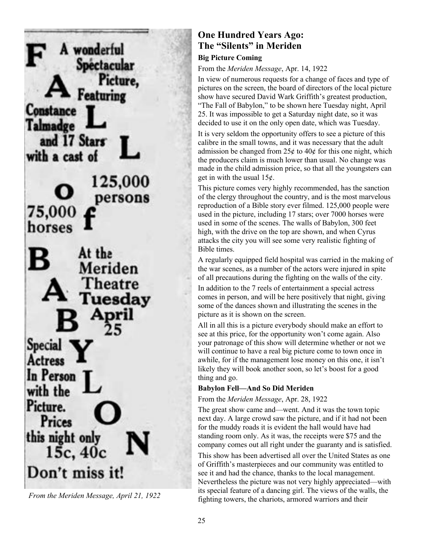

*From the Meriden Message, April 21, 1922*

## **One Hundred Years Ago: The "Silents" in Meriden**

### **Big Picture Coming**

From the *Meriden Message*, Apr. 14, 1922

In view of numerous requests for a change of faces and type of pictures on the screen, the board of directors of the local picture show have secured David Wark Griffith's greatest production, "The Fall of Babylon," to be shown here Tuesday night, April 25. It was impossible to get a Saturday night date, so it was decided to use it on the only open date, which was Tuesday.

It is very seldom the opportunity offers to see a picture of this calibre in the small towns, and it was necessary that the adult admission be changed from  $25¢$  to  $40¢$  for this one night, which the producers claim is much lower than usual. No change was made in the child admission price, so that all the youngsters can get in with the usual  $15¢$ .

This picture comes very highly recommended, has the sanction of the clergy throughout the country, and is the most marvelous reproduction of a Bible story ever filmed. 125,000 people were used in the picture, including 17 stars; over 7000 horses were used in some of the scenes. The walls of Babylon, 300 feet high, with the drive on the top are shown, and when Cyrus attacks the city you will see some very realistic fighting of Bible times.

A regularly equipped field hospital was carried in the making of the war scenes, as a number of the actors were injured in spite of all precautions during the fighting on the walls of the city.

In addition to the 7 reels of entertainment a special actress comes in person, and will be here positively that night, giving some of the dances shown and illustrating the scenes in the picture as it is shown on the screen.

All in all this is a picture everybody should make an effort to see at this price, for the opportunity won't come again. Also your patronage of this show will determine whether or not we will continue to have a real big picture come to town once in awhile, for if the management lose money on this one, it isn't likely they will book another soon, so let's boost for a good thing and go.

### **Babylon Fell—And So Did Meriden**

#### From the *Meriden Message*, Apr. 28, 1922

The great show came and—went. And it was the town topic next day. A large crowd saw the picture, and if it had not been for the muddy roads it is evident the hall would have had standing room only. As it was, the receipts were \$75 and the company comes out all right under the guaranty and is satisfied.

This show has been advertised all over the United States as one of Griffith's masterpieces and our community was entitled to see it and had the chance, thanks to the local management. Nevertheless the picture was not very highly appreciated—with its special feature of a dancing girl. The views of the walls, the fighting towers, the chariots, armored warriors and their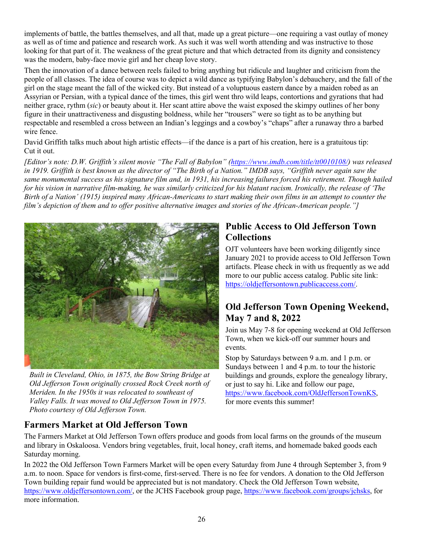implements of battle, the battles themselves, and all that, made up a great picture—one requiring a vast outlay of money as well as of time and patience and research work. As such it was well worth attending and was instructive to those looking for that part of it. The weakness of the great picture and that which detracted from its dignity and consistency was the modern, baby-face movie girl and her cheap love story.

Then the innovation of a dance between reels failed to bring anything but ridicule and laughter and criticism from the people of all classes. The idea of course was to depict a wild dance as typifying Babylon's debauchery, and the fall of the girl on the stage meant the fall of the wicked city. But instead of a voluptuous eastern dance by a maiden robed as an Assyrian or Persian, with a typical dance of the times, this girl went thro wild leaps, contortions and gyrations that had neither grace, rythm (*sic*) or beauty about it. Her scant attire above the waist exposed the skimpy outlines of her bony figure in their unattractiveness and disgusting boldness, while her "trousers" were so tight as to be anything but respectable and resembled a cross between an Indian's leggings and a cowboy's "chaps" after a runaway thro a barbed wire fence.

David Griffith talks much about high artistic effects—if the dance is a part of his creation, here is a gratuitous tip: Cut it out.

*[Editor's note: D.W. Griffith's silent movie "The Fall of Babylon" (https://www.imdb.com/title/tt0010108/) was released*  in 1919. Griffith is best known as the director of "The Birth of a Nation." IMDB says, "Griffith never again saw the *same monumental success as his signature film and, in 1931, his increasing failures forced his retirement. Though hailed for his vision in narrative film-making, he was similarly criticized for his blatant racism. Ironically, the release of 'The Birth of a Nation' (1915) inspired many African-Americans to start making their own films in an attempt to counter the film's depiction of them and to offer positive alternative images and stories of the African-American people."]*



*Built in Cleveland, Ohio, in 1875, the Bow String Bridge at Old Jefferson Town originally crossed Rock Creek north of Meriden. In the 1950s it was relocated to southeast of Valley Falls. It was moved to Old Jefferson Town in 1975. Photo courtesy of Old Jefferson Town.*

## **Public Access to Old Jefferson Town Collections**

OJT volunteers have been working diligently since January 2021 to provide access to Old Jefferson Town artifacts. Please check in with us frequently as we add more to our public access catalog. Public site link: https://oldjeffersontown.publicaccess.com/.

## **Old Jefferson Town Opening Weekend, May 7 and 8, 2022**

Join us May 7-8 for opening weekend at Old Jefferson Town, when we kick-off our summer hours and events.

Stop by Saturdays between 9 a.m. and 1 p.m. or Sundays between 1 and 4 p.m. to tour the historic buildings and grounds, explore the genealogy library, or just to say hi. Like and follow our page, https://www.facebook.com/OldJeffersonTownKS, for more events this summer!

# **Farmers Market at Old Jefferson Town**

The Farmers Market at Old Jefferson Town offers produce and goods from local farms on the grounds of the museum and library in Oskaloosa. Vendors bring vegetables, fruit, local honey, craft items, and homemade baked goods each Saturday morning.

In 2022 the Old Jefferson Town Farmers Market will be open every Saturday from June 4 through September 3, from 9 a.m. to noon. Space for vendors is first-come, first-served. There is no fee for vendors. A donation to the Old Jefferson Town building repair fund would be appreciated but is not mandatory. Check the Old Jefferson Town website, https://www.oldjeffersontown.com/, or the JCHS Facebook group page, https://www.facebook.com/groups/jchsks, for more information.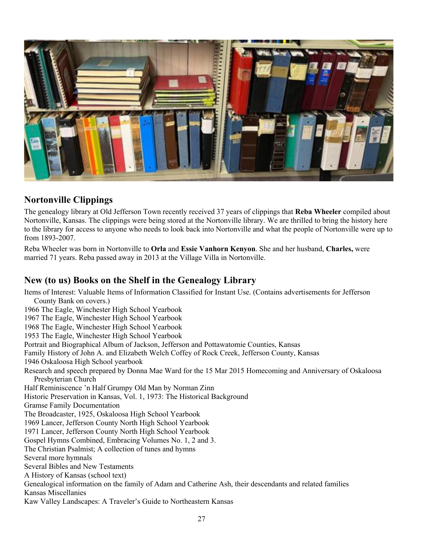

## **Nortonville Clippings**

The genealogy library at Old Jefferson Town recently received 37 years of clippings that **Reba Wheeler** compiled about Nortonville, Kansas. The clippings were being stored at the Nortonville library. We are thrilled to bring the history here to the library for access to anyone who needs to look back into Nortonville and what the people of Nortonville were up to from 1893-2007.

Reba Wheeler was born in Nortonville to **Orla** and **Essie Vanhorn Kenyon**. She and her husband, **Charles,** were married 71 years. Reba passed away in 2013 at the Village Villa in Nortonville.

## **New (to us) Books on the Shelf in the Genealogy Library**

Items of Interest: Valuable Items of Information Classified for Instant Use. (Contains advertisements for Jefferson County Bank on covers.) 1966 The Eagle, Winchester High School Yearbook 1967 The Eagle, Winchester High School Yearbook 1968 The Eagle, Winchester High School Yearbook 1953 The Eagle, Winchester High School Yearbook Portrait and Biographical Album of Jackson, Jefferson and Pottawatomie Counties, Kansas Family History of John A. and Elizabeth Welch Coffey of Rock Creek, Jefferson County, Kansas 1946 Oskaloosa High School yearbook Research and speech prepared by Donna Mae Ward for the 15 Mar 2015 Homecoming and Anniversary of Oskaloosa Presbyterian Church Half Reminiscence 'n Half Grumpy Old Man by Norman Zinn Historic Preservation in Kansas, Vol. 1, 1973: The Historical Background Gramse Family Documentation The Broadcaster, 1925, Oskaloosa High School Yearbook 1969 Lancer, Jefferson County North High School Yearbook 1971 Lancer, Jefferson County North High School Yearbook Gospel Hymns Combined, Embracing Volumes No. 1, 2 and 3. The Christian Psalmist; A collection of tunes and hymns Several more hymnals Several Bibles and New Testaments A History of Kansas (school text) Genealogical information on the family of Adam and Catherine Ash, their descendants and related families Kansas Miscellanies Kaw Valley Landscapes: A Traveler's Guide to Northeastern Kansas